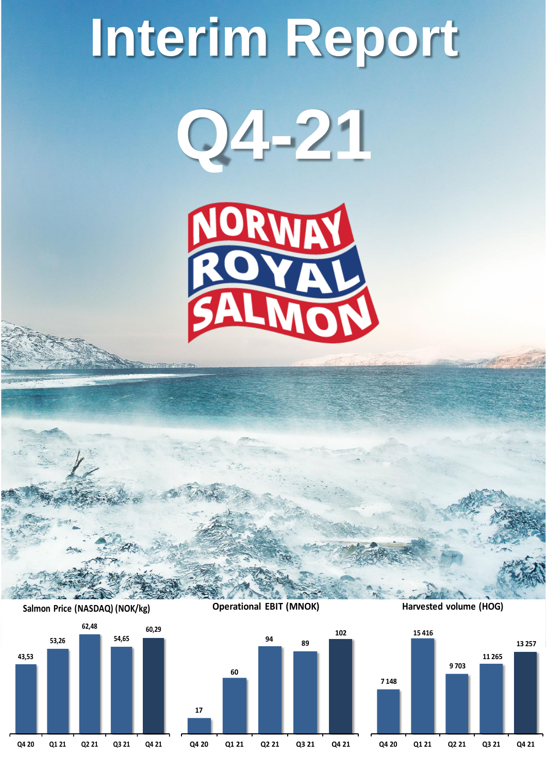



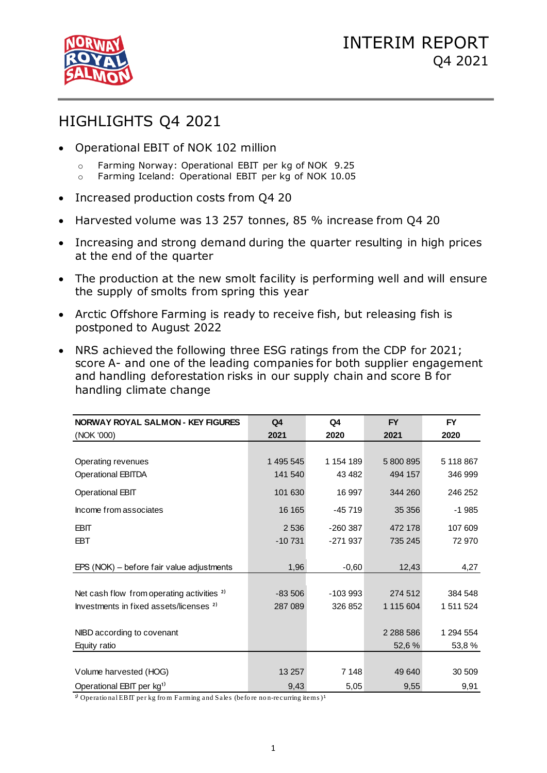

# HIGHLIGHTS Q4 2021

- Operational EBIT of NOK 102 million
	- o Farming Norway: Operational EBIT per kg of NOK 9.25
	- o Farming Iceland: Operational EBIT per kg of NOK 10.05
- Increased production costs from Q4 20
- Harvested volume was 13 257 tonnes, 85 % increase from Q4 20
- Increasing and strong demand during the quarter resulting in high prices at the end of the quarter
- The production at the new smolt facility is performing well and will ensure the supply of smolts from spring this year
- Arctic Offshore Farming is ready to receive fish, but releasing fish is postponed to August 2022
- NRS achieved the following three ESG ratings from the CDP for 2021; score A- and one of the leading companies for both supplier engagement and handling deforestation risks in our supply chain and score B for handling climate change

| NORWAY ROYAL SALMON - KEY FIGURES                     | Q <sub>4</sub> | Q4        | <b>FY</b>     | <b>FY</b> |
|-------------------------------------------------------|----------------|-----------|---------------|-----------|
| (NOK '000)                                            | 2021           | 2020      | 2021          | 2020      |
|                                                       |                |           |               |           |
| Operating revenues                                    | 1 495 545      | 1 154 189 | 5 800 895     | 5 118 867 |
| <b>Operational EBITDA</b>                             | 141 540        | 43 4 82   | 494 157       | 346 999   |
| <b>Operational EBIT</b>                               | 101 630        | 16 997    | 344 260       | 246 252   |
| Income from associates                                | 16 165         | $-45719$  | 35 35 6       | $-1985$   |
| <b>EBIT</b>                                           | 2 5 3 6        | $-260387$ | 472 178       | 107 609   |
| <b>EBT</b>                                            | $-10731$       | $-271937$ | 735 245       | 72 970    |
|                                                       |                |           |               |           |
| EPS (NOK) – before fair value adjustments             | 1,96           | $-0,60$   | 12,43         | 4,27      |
|                                                       |                |           |               |           |
| Net cash flow from operating activities <sup>2)</sup> | $-83506$       | $-103993$ | 274 512       | 384 548   |
| Investments in fixed assets/licenses <sup>2)</sup>    | 287 089        | 326 852   | 1 115 604     | 1 511 524 |
|                                                       |                |           |               |           |
| NIBD according to covenant                            |                |           | 2 2 8 5 5 8 6 | 1 294 554 |
| Equity ratio                                          |                |           | 52,6 %        | 53,8%     |
|                                                       |                |           |               |           |
| Volume harvested (HOG)                                | 13 257         | 7 1 4 8   | 49 640        | 30 509    |
| Operational EBIT per kg <sup>1)</sup>                 | 9,43           | 5,05      | 9,55          | 9,91      |

 $<sup>1</sup>$  Operational EBIT per kg from Farming and Sales (before non-recurring items)<sup>1</sup></sup>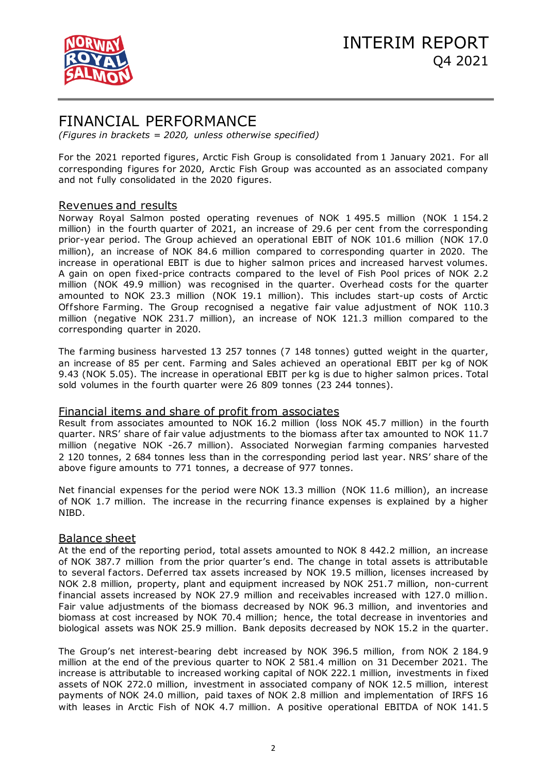

# FINANCIAL PERFORMANCE

*(Figures in brackets = 2020, unless otherwise specified)*

For the 2021 reported figures, Arctic Fish Group is consolidated from 1 January 2021. For all corresponding figures for 2020, Arctic Fish Group was accounted as an associated company and not fully consolidated in the 2020 figures.

## Revenues and results

Norway Royal Salmon posted operating revenues of NOK 1 495.5 million (NOK 1 154.2 million) in the fourth quarter of 2021, an increase of 29.6 per cent from the corresponding prior-year period. The Group achieved an operational EBIT of NOK 101.6 million (NOK 17.0 million), an increase of NOK 84.6 million compared to corresponding quarter in 2020. The increase in operational EBIT is due to higher salmon prices and increased harvest volumes. A gain on open fixed-price contracts compared to the level of Fish Pool prices of NOK 2.2 million (NOK 49.9 million) was recognised in the quarter. Overhead costs for the quarter amounted to NOK 23.3 million (NOK 19.1 million). This includes start-up costs of Arctic Offshore Farming. The Group recognised a negative fair value adjustment of NOK 110.3 million (negative NOK 231.7 million), an increase of NOK 121.3 million compared to the corresponding quarter in 2020.

The farming business harvested 13 257 tonnes (7 148 tonnes) gutted weight in the quarter, an increase of 85 per cent. Farming and Sales achieved an operational EBIT per kg of NOK 9.43 (NOK 5.05). The increase in operational EBIT per kg is due to higher salmon prices. Total sold volumes in the fourth quarter were 26 809 tonnes (23 244 tonnes).

## Financial items and share of profit from associates

Result from associates amounted to NOK 16.2 million (loss NOK 45.7 million) in the fourth quarter. NRS' share of fair value adjustments to the biomass af ter tax amounted to NOK 11.7 million (negative NOK -26.7 million). Associated Norwegian farming companies harvested 2 120 tonnes, 2 684 tonnes less than in the corresponding period last year. NRS' share of the above figure amounts to 771 tonnes, a decrease of 977 tonnes.

Net financial expenses for the period were NOK 13.3 million (NOK 11.6 million), an increase of NOK 1.7 million. The increase in the recurring finance expenses is explained by a higher NIBD.

## Balance sheet

At the end of the reporting period, total assets amounted to NOK 8 442.2 million, an increase of NOK 387.7 million from the prior quarter's end. The change in total assets is attributable to several factors. Deferred tax assets increased by NOK 19.5 million, licenses increased by NOK 2.8 million, property, plant and equipment increased by NOK 251.7 million, non-current financial assets increased by NOK 27.9 million and receivables increased with 127.0 million. Fair value adjustments of the biomass decreased by NOK 96.3 million, and inventories and biomass at cost increased by NOK 70.4 million; hence, the total decrease in inventories and biological assets was NOK 25.9 million. Bank deposits decreased by NOK 15.2 in the quarter.

The Group's net interest-bearing debt increased by NOK 396.5 million, from NOK 2 184.9 million at the end of the previous quarter to NOK 2 581.4 million on 31 December 2021. The increase is attributable to increased working capital of NOK 222.1 million, investments in fixed assets of NOK 272.0 million, investment in associated company of NOK 12.5 million, interest payments of NOK 24.0 million, paid taxes of NOK 2.8 million and implementation of IRFS 16 with leases in Arctic Fish of NOK 4.7 million. A positive operational EBITDA of NOK 141.5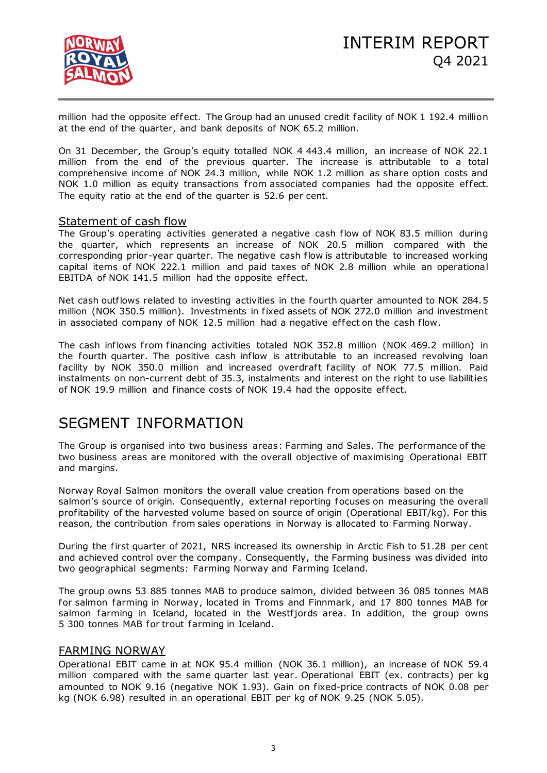

million had the opposite effect. The Group had an unused credit facility of NOK 1 192.4 million at the end of the quarter, and bank deposits of NOK 65.2 million.

On 31 December, the Group's equity totalled NOK 4 443.4 million, an increase of NOK 22.1 million from the end of the previous quarter. The increase is attributable to a total comprehensive income of NOK 24.3 million, while NOK 1.2 million as share option costs and NOK 1.0 million as equity transactions from associated companies had the opposite effect. The equity ratio at the end of the quarter is 52.6 per cent.

## Statement of cash flow

The Group's operating activities generated a negative cash flow of NOK 83.5 million during the quarter, which represents an increase of NOK 20.5 million compared with the corresponding prior-year quarter. The negative cash flow is attributable to increased working capital items of NOK 222.1 million and paid taxes of NOK 2.8 million while an operational EBITDA of NOK 141.5 million had the opposite effect.

Net cash outflows related to investing activities in the fourth quarter amounted to NOK 284.5 million (NOK 350.5 million). Investments in fixed assets of NOK 272.0 million and investment in associated company of NOK 12.5 million had a negative ef fect on the cash flow.

The cash inflows from financing activities totaled NOK 352.8 million (NOK 469.2 million) in the fourth quarter. The positive cash inflow is attributable to an increased revolving loan facility by NOK 350.0 million and increased overdraft facility of NOK 77.5 million. Paid instalments on non-current debt of 35.3, instalments and interest on the right to use liabilities of NOK 19.9 million and finance costs of NOK 19.4 had the opposite ef fect.

# SEGMENT INFORMATION

The Group is organised into two business areas: Farming and Sales. The performance of the two business areas are monitored with the overall objective of maximising Operational EBIT and margins.

Norway Royal Salmon monitors the overall value creation f rom operations based on the salmon's source of origin. Consequently, external reporting focuses on measuring the overall profitability of the harvested volume based on source of origin (Operational EBIT/kg). For this reason, the contribution from sales operations in Norway is allocated to Farming Norway.

During the first quarter of 2021, NRS increased its ownership in Arctic Fish to 51.28 per cent and achieved control over the company. Consequently, the Farming business was divided into two geographical segments: Farming Norway and Farming Iceland.

The group owns 53 885 tonnes MAB to produce salmon, divided between 36 085 tonnes MAB for salmon farming in Norway, located in Troms and Finnmark, and 17 800 tonnes MAB for salmon farming in Iceland, located in the Westfjords area. In addition, the group owns 5 300 tonnes MAB for trout farming in Iceland.

## FARMING NORWAY

Operational EBIT came in at NOK 95.4 million (NOK 36.1 million), an increase of NOK 59.4 million compared with the same quarter last year. Operational EBIT (ex. contracts) per kg amounted to NOK 9.16 (negative NOK 1.93). Gain on fixed-price contracts of NOK 0.08 per kg (NOK 6.98) resulted in an operational EBIT per kg of NOK 9.25 (NOK 5.05).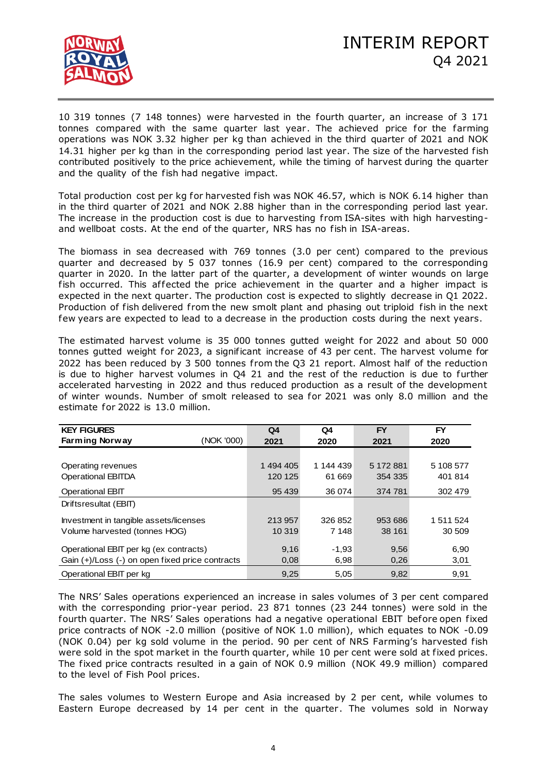

10 319 tonnes (7 148 tonnes) were harvested in the fourth quarter, an increase of 3 171 tonnes compared with the same quarter last year. The achieved price for the farming operations was NOK 3.32 higher per kg than achieved in the third quarter of 2021 and NOK 14.31 higher per kg than in the corresponding period last year. The size of the harvested fish contributed positively to the price achievement, while the timing of harvest during the quarter and the quality of the fish had negative impact.

Total production cost per kg for harvested fish was NOK 46.57, which is NOK 6.14 higher than in the third quarter of 2021 and NOK 2.88 higher than in the corresponding period last year. The increase in the production cost is due to harvesting from ISA-sites with high harvestingand wellboat costs. At the end of the quarter, NRS has no fish in ISA-areas.

The biomass in sea decreased with 769 tonnes (3.0 per cent) compared to the previous quarter and decreased by 5 037 tonnes (16.9 per cent) compared to the corresponding quarter in 2020. In the latter part of the quarter, a development of winter wounds on large fish occurred. This affected the price achievement in the quarter and a higher impact is expected in the next quarter. The production cost is expected to slightly decrease in Q1 2022. Production of fish delivered from the new smolt plant and phasing out triploid fish in the next few years are expected to lead to a decrease in the production costs during the next years.

The estimated harvest volume is 35 000 tonnes gutted weight for 2022 and about 50 000 tonnes gutted weight for 2023, a significant increase of 43 per cent. The harvest volume for 2022 has been reduced by 3 500 tonnes from the O3 21 report. Almost half of the reduction is due to higher harvest volumes in Q4 21 and the rest of the reduction is due to further accelerated harvesting in 2022 and thus reduced production as a result of the development of winter wounds. Number of smolt released to sea for 2021 was only 8.0 million and the estimate for 2022 is 13.0 million.

| <b>KEY FIGURES</b>                              | Q4        | Q4        | <b>FY</b> | FY        |
|-------------------------------------------------|-----------|-----------|-----------|-----------|
| <b>Farming Norway</b><br>(NOK '000)             | 2021      | 2020      | 2021      | 2020      |
|                                                 |           |           |           |           |
| Operating revenues                              | 1 494 405 | 1 144 439 | 5 172 881 | 5 108 577 |
| <b>Operational EBITDA</b>                       | 120 125   | 61 669    | 354 335   | 401 814   |
| <b>Operational EBIT</b>                         | 95 439    | 36 074    | 374 781   | 302 479   |
| Driftsresultat (EBIT)                           |           |           |           |           |
| Investment in tangible assets/licenses          | 213 957   | 326 852   | 953 686   | 1 511 524 |
| Volume harvested (tonnes HOG)                   | 10 319    | 7 148     | 38 161    | 30 509    |
| Operational EBIT per kg (ex contracts)          | 9,16      | $-1,93$   | 9,56      | 6,90      |
| Gain (+)/Loss (-) on open fixed price contracts | 0,08      | 6,98      | 0,26      | 3,01      |
| Operational EBIT per kg                         | 9.25      | 5,05      | 9.82      | 9,91      |

The NRS' Sales operations experienced an increase in sales volumes of 3 per cent compared with the corresponding prior-year period. 23 871 tonnes (23 244 tonnes) were sold in the fourth quarter. The NRS' Sales operations had a negative operational EBIT before open fixed price contracts of NOK -2.0 million (positive of NOK 1.0 million), which equates to NOK -0.09 (NOK 0.04) per kg sold volume in the period. 90 per cent of NRS Farming's harvested fish were sold in the spot market in the fourth quarter, while 10 per cent were sold at fixed prices. The fixed price contracts resulted in a gain of NOK 0.9 million (NOK 49.9 million) compared to the level of Fish Pool prices.

The sales volumes to Western Europe and Asia increased by 2 per cent, while volumes to Eastern Europe decreased by 14 per cent in the quarter. The volumes sold in Norway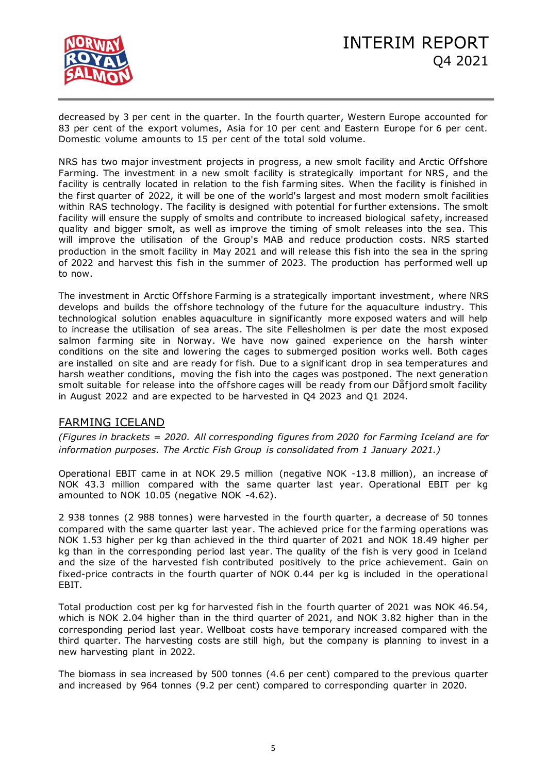

decreased by 3 per cent in the quarter. In the fourth quarter, Western Europe accounted for 83 per cent of the export volumes, Asia for 10 per cent and Eastern Europe for 6 per cent. Domestic volume amounts to 15 per cent of the total sold volume.

NRS has two major investment projects in progress, a new smolt facility and Arctic Offshore Farming. The investment in a new smolt facility is strategically important for NRS, and the facility is centrally located in relation to the fish farming sites. When the facility is finished in the first quarter of 2022, it will be one of the world's largest and most modern smolt facilities within RAS technology. The facility is designed with potential for further extensions. The smolt facility will ensure the supply of smolts and contribute to increased biological safety, increased quality and bigger smolt, as well as improve the timing of smolt releases into the sea. This will improve the utilisation of the Group's MAB and reduce production costs. NRS started production in the smolt facility in May 2021 and will release this fish into the sea in the spring of 2022 and harvest this fish in the summer of 2023. The production has performed well up to now.

The investment in Arctic Offshore Farming is a strategically important investment, where NRS develops and builds the offshore technology of the future for the aquaculture industry. This technological solution enables aquaculture in significantly more exposed waters and will help to increase the utilisation of sea areas. The site Fellesholmen is per date the most exposed salmon farming site in Norway. We have now gained experience on the harsh winter conditions on the site and lowering the cages to submerged position works well. Both cages are installed on site and are ready for fish. Due to a significant drop in sea temperatures and harsh weather conditions, moving the fish into the cages was postponed. The next generation smolt suitable for release into the off shore cages will be ready from our Dafjord smolt facility in August 2022 and are expected to be harvested in Q4 2023 and Q1 2024.

# FARMING ICELAND

*(Figures in brackets = 2020. All corresponding figures from 2020 for Farming Iceland are for information purposes. The Arctic Fish Group is consolidated from 1 January 2021.)*

Operational EBIT came in at NOK 29.5 million (negative NOK -13.8 million), an increase of NOK 43.3 million compared with the same quarter last year. Operational EBIT per kg amounted to NOK 10.05 (negative NOK -4.62).

2 938 tonnes (2 988 tonnes) were harvested in the fourth quarter, a decrease of 50 tonnes compared with the same quarter last year. The achieved price for the farming operations was NOK 1.53 higher per kg than achieved in the third quarter of 2021 and NOK 18.49 higher per kg than in the corresponding period last year. The quality of the fish is very good in Iceland and the size of the harvested fish contributed positively to the price achievement. Gain on fixed-price contracts in the fourth quarter of NOK 0.44 per kg is included in the operational EBIT.

Total production cost per kg for harvested fish in the fourth quarter of 2021 was NOK 46.54, which is NOK 2.04 higher than in the third quarter of 2021, and NOK 3.82 higher than in the corresponding period last year. Wellboat costs have temporary increased compared with the third quarter. The harvesting costs are still high, but the company is planning to invest in a new harvesting plant in 2022.

The biomass in sea increased by 500 tonnes (4.6 per cent) compared to the previous quarter and increased by 964 tonnes (9.2 per cent) compared to corresponding quarter in 2020.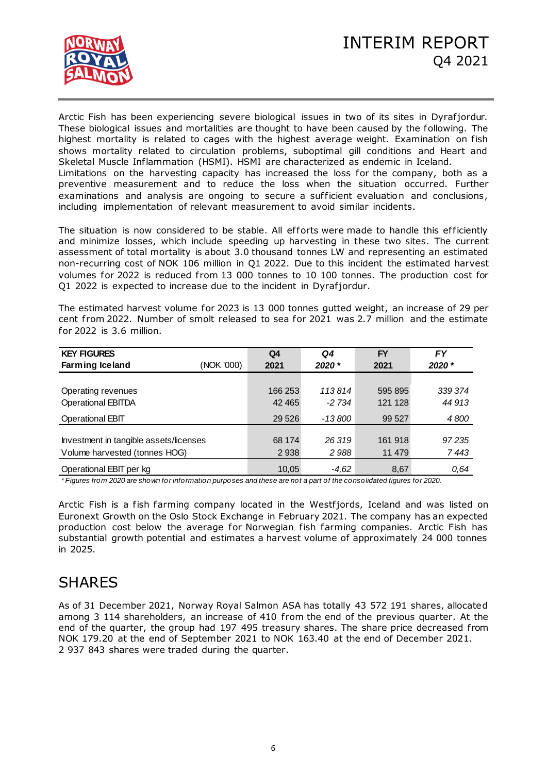

Arctic Fish has been experiencing severe biological issues in two of its sites in Dyraf jordur. These biological issues and mortalities are thought to have been caused by the following. The highest mortality is related to cages with the highest average weight. Examination on fish shows mortality related to circulation problems, suboptimal gill conditions and Heart and Skeletal Muscle Inflammation (HSMI). HSMI are characterized as endemic in Iceland. Limitations on the harvesting capacity has increased the loss for the company, both as a preventive measurement and to reduce the loss when the situation occurred. Further examinations and analysis are ongoing to secure a sufficient evaluation and conclusions, including implementation of relevant measurement to avoid similar incidents.

The situation is now considered to be stable. All efforts were made to handle this efficiently and minimize losses, which include speeding up harvesting in these two sites. The current assessment of total mortality is about 3.0 thousand tonnes LW and representing an estimated non-recurring cost of NOK 106 million in Q1 2022. Due to this incident the estimated harvest volumes for 2022 is reduced from 13 000 tonnes to 10 100 tonnes. The production cost for Q1 2022 is expected to increase due to the incident in Dyraf jordur.

The estimated harvest volume for 2023 is 13 000 tonnes gutted weight, an increase of 29 per cent from 2022. Number of smolt released to sea for 2021 was 2.7 million and the estimate for 2022 is 3.6 million.

| CENT FROM ZUZZ. NUMBER OF SHIOR REGISED TO SEG FOR ZUZT WAS Z.7 MINION THIC CHE ESTIM<br>for $2022$ is $3.6$ million. |            |                |         |           |           |
|-----------------------------------------------------------------------------------------------------------------------|------------|----------------|---------|-----------|-----------|
| <b>KEY FIGURES</b>                                                                                                    |            | Q <sub>4</sub> | Q4      | <b>FY</b> | <b>FY</b> |
| Farming Iceland                                                                                                       | (NOK '000) | 2021           | 2020 *  | 2021      | 2020 *    |
|                                                                                                                       |            |                |         |           |           |
| Operating revenues                                                                                                    |            | 166 253        | 113814  | 595 895   | 339 374   |
| <b>Operational EBITDA</b>                                                                                             |            | 42 4 65        | $-2734$ | 121 128   | 44 913    |
| Operational EBIT                                                                                                      |            | 29 5 26        | -13 800 | 99 527    | 4800      |
|                                                                                                                       |            |                |         |           |           |
| Investment in tangible assets/licenses                                                                                |            | 68 174         | 26 319  | 161 918   | 97235     |
| Volume harvested (tonnes HOG)                                                                                         |            | 2938           | 2988    | 11 479    | 7 443     |
| Operational EBIT per kg                                                                                               |            | 10.05          | $-4.62$ | 8,67      | 0.64      |

*\* Figures from 2020 are shown for information purposes and these are not a part of the consolidated figures for 2020.*

Arctic Fish is a fish farming company located in the Westfjords, Iceland and was listed on Euronext Growth on the Oslo Stock Exchange in February 2021. The company has an expected production cost below the average for Norwegian fish farming companies. Arctic Fish has substantial growth potential and estimates a harvest volume of approximately 24 000 tonnes in 2025.

# **SHARES**

As of 31 December 2021, Norway Royal Salmon ASA has totally 43 572 191 shares, allocated among 3 114 shareholders, an increase of 410 from the end of the previous quarter. At the end of the quarter, the group had 197 495 treasury shares. The share price decreased from NOK 179.20 at the end of September 2021 to NOK 163.40 at the end of December 2021. 2 937 843 shares were traded during the quarter.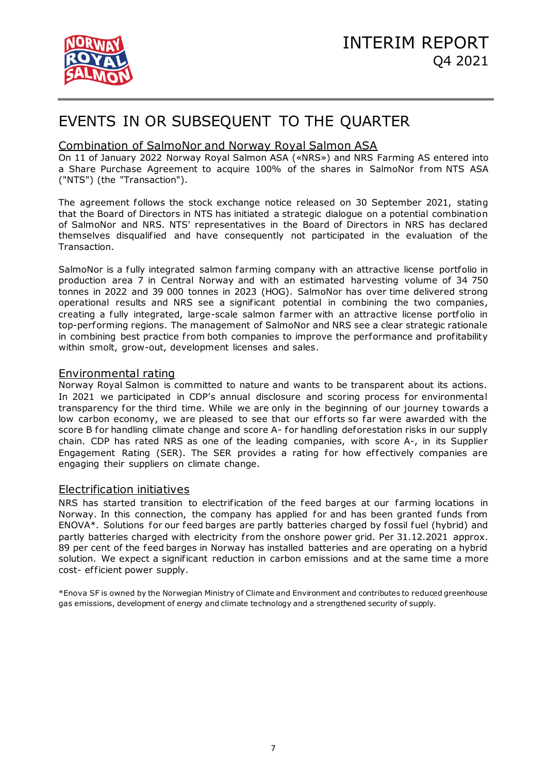

# EVENTS IN OR SUBSEQUENT TO THE QUARTER

# Combination of SalmoNor and Norway Royal Salmon ASA

On 11 of January 2022 Norway Royal Salmon ASA («NRS») and NRS Farming AS entered into a Share Purchase Agreement to acquire 100% of the shares in SalmoNor from NTS ASA ("NTS") (the "Transaction").

The agreement follows the stock exchange notice released on 30 September 2021, stating that the Board of Directors in NTS has initiated a strategic dialogue on a potential combination of SalmoNor and NRS. NTS' representatives in the Board of Directors in NRS has declared themselves disqualified and have consequently not participated in the evaluation of the Transaction.

SalmoNor is a fully integrated salmon farming company with an attractive license portfolio in production area 7 in Central Norway and with an estimated harvesting volume of 34 750 tonnes in 2022 and 39 000 tonnes in 2023 (HOG). SalmoNor has over time delivered strong operational results and NRS see a significant potential in combining the two companies, creating a fully integrated, large-scale salmon farmer with an attractive license portfolio in top-performing regions. The management of SalmoNor and NRS see a clear strategic rationale in combining best practice from both companies to improve the performance and profitability within smolt, grow-out, development licenses and sales.

## Environmental rating

Norway Royal Salmon is committed to nature and wants to be transparent about its actions. In 2021 we participated in CDP's annual disclosure and scoring process for environmental transparency for the third time. While we are only in the beginning of our journey towards a low carbon economy, we are pleased to see that our efforts so far were awarded with the score B for handling climate change and score A- for handling deforestation risks in our supply chain. CDP has rated NRS as one of the leading companies, with score A-, in its Supplier Engagement Rating (SER). The SER provides a rating for how ef fectively companies are engaging their suppliers on climate change.

## Electrification initiatives

NRS has started transition to electrification of the feed barges at our farming locations in Norway. In this connection, the company has applied for and has been granted funds from ENOVA\*. Solutions for our feed barges are partly batteries charged by fossil fuel (hybrid) and partly batteries charged with electricity from the onshore power grid. Per 31.12.2021 approx. 89 per cent of the feed barges in Norway has installed batteries and are operating on a hybrid solution. We expect a significant reduction in carbon emissions and at the same time a more cost- ef ficient power supply.

\*Enova SF is owned by the Norwegian Ministry of Climate and Environment and contributes to reduced greenhouse gas emissions, development of energy and climate technology and a strengthened security of supply.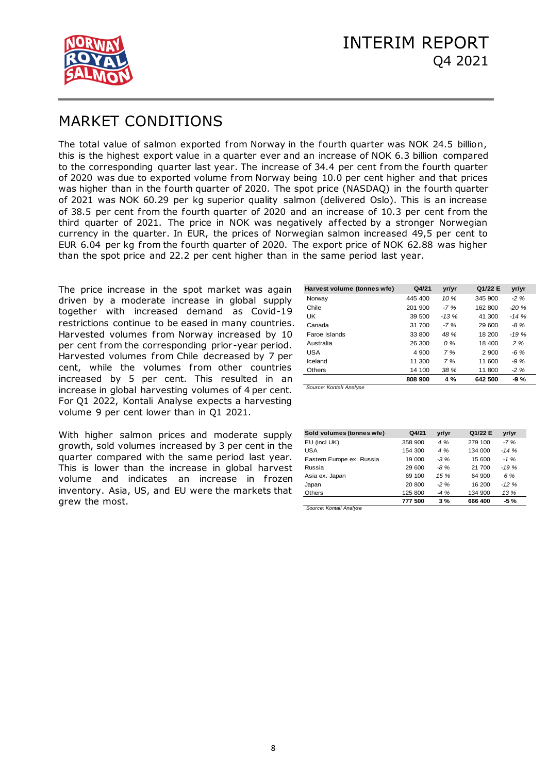

# MARKET CONDITIONS

The total value of salmon exported from Norway in the fourth quarter was NOK 24.5 billion, this is the highest export value in a quarter ever and an increase of NOK 6.3 billion compared to the corresponding quarter last year. The increase of 34.4 per cent from the fourth quarter of 2020 was due to exported volume from Norway being 10.0 per cent higher and that prices was higher than in the fourth quarter of 2020. The spot price (NASDAQ) in the fourth quarter of 2021 was NOK 60.29 per kg superior quality salmon (delivered Oslo). This is an increase of 38.5 per cent from the fourth quarter of 2020 and an increase of 10.3 per cent from the third quarter of 2021. The price in NOK was negatively affected by a stronger Norwegian currency in the quarter. In EUR, the prices of Norwegian salmon increased 49,5 per cent to EUR 6.04 per kg from the fourth quarter of 2020. The export price of NOK 62.88 was higher than the spot price and 22.2 per cent higher than in the same period last year.

The price increase in the spot market was again driven by a moderate increase in global supply together with increased demand as Covid-19 restrictions continue to be eased in many countries. Harvested volumes from Norway increased by 10 per cent from the corresponding prior-year period. Harvested volumes from Chile decreased by 7 per cent, while the volumes from other countries increased by 5 per cent. This resulted in an increase in global harvesting volumes of 4 per cent. For Q1 2022, Kontali Analyse expects a harvesting volume 9 per cent lower than in Q1 2021.

With higher salmon prices and moderate supply growth, sold volumes increased by 3 per cent in the quarter compared with the same period last year. This is lower than the increase in global harvest volume and indicates an increase in frozen inventory. Asia, US, and EU were the markets that grew the most.

| Harvest volume (tonnes wfe) | Q4/21   | yr/yr  | Q1/22 E | yr/yr  |
|-----------------------------|---------|--------|---------|--------|
| Norway                      | 445 400 | 10%    | 345 900 | $-2\%$ |
| Chile                       | 201 900 | $-7%$  | 162 800 | $-20%$ |
| UK                          | 39 500  | $-13%$ | 41 300  | $-14%$ |
| Canada                      | 31 700  | $-7%$  | 29 600  | $-8%$  |
| Faroe Islands               | 33 800  | 48 %   | 18 200  | $-19%$ |
| Australia                   | 26 300  | 0%     | 18 400  | 2%     |
| <b>USA</b>                  | 4 900   | 7%     | 2 9 0 0 | $-6\%$ |
| Iceland                     | 11 300  | 7%     | 11 600  | $-9%$  |
| <b>Others</b>               | 14 100  | 38 %   | 11 800  | $-2\%$ |
|                             | 808 900 | 4 %    | 642 500 | $-9%$  |

*Source: Kontali Analyse*

| Sold volumes (tonnes wfe) | Q4/21   | yr/yr  | Q1/22 E | yr/yr  |
|---------------------------|---------|--------|---------|--------|
| EU (incl UK)              | 358 900 | 4%     | 279 100 | $-7%$  |
| USA                       | 154 300 | 4%     | 134 000 | $-14%$ |
| Eastern Europe ex. Russia | 19 000  | $-3%$  | 15 600  | $-1\%$ |
| Russia                    | 29 600  | $-8\%$ | 21 700  | $-19%$ |
| Asia ex. Japan            | 69 100  | 15%    | 64 900  | 6 %    |
| Japan                     | 20 800  | $-2\%$ | 16 200  | $-12%$ |
| Others                    | 125 800 | $-4%$  | 134 900 | 13%    |
|                           | 777 500 | 3%     | 666 400 | -5 %   |

*Source: Kontali Analyse*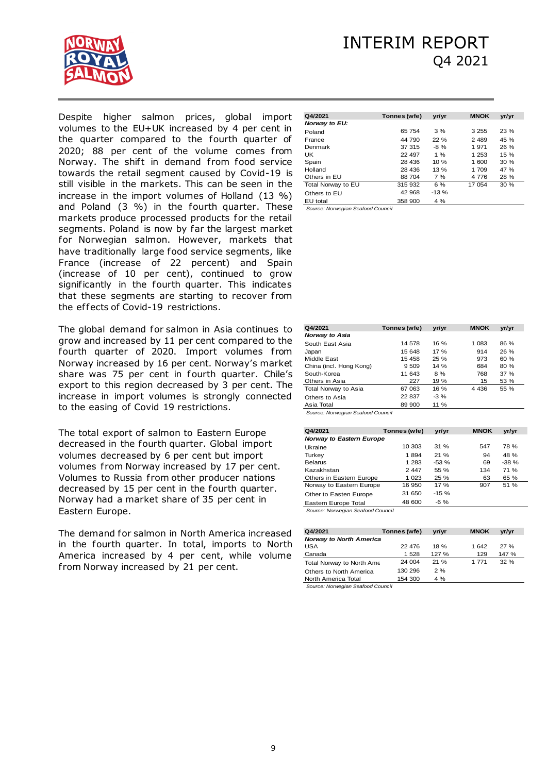

# INTERIM REPORT Q4 2021

Despite higher salmon prices, global import volumes to the EU+UK increased by 4 per cent in the quarter compared to the fourth quarter of 2020; 88 per cent of the volume comes from Norway. The shift in demand from food service towards the retail segment caused by Covid-19 is still visible in the markets. This can be seen in the increase in the import volumes of Holland (13 %) and Poland (3 %) in the fourth quarter. These markets produce processed products for the retail segments. Poland is now by far the largest market for Norwegian salmon. However, markets that have traditionally large food service segments, like France (increase of 22 percent) and Spain (increase of 10 per cent), continued to grow significantly in the fourth quarter. This indicates that these segments are starting to recover from the effects of Covid-19 restrictions.

The global demand for salmon in Asia continues to grow and increased by 11 per cent compared to the fourth quarter of 2020. Import volumes from Norway increased by 16 per cent. Norway's market share was 75 per cent in fourth quarter. Chile's export to this region decreased by 3 per cent. The increase in import volumes is strongly connected to the easing of Covid 19 restrictions.

The total export of salmon to Eastern Europe decreased in the fourth quarter. Global import volumes decreased by 6 per cent but import volumes from Norway increased by 17 per cent. Volumes to Russia from other producer nations decreased by 15 per cent in the fourth quarter. Norway had a market share of 35 per cent in Eastern Europe.

The demand for salmon in North America increased in the fourth quarter. In total, imports to North America increased by 4 per cent, while volume from Norway increased by 21 per cent.

| Q4/2021            | Tonnes (wfe) | yr/yr  | <b>MNOK</b> | yr/yr |
|--------------------|--------------|--------|-------------|-------|
| Norway to EU:      |              |        |             |       |
| Poland             | 65 754       | 3%     | 3 2 5 5     | 23%   |
| France             | 44 790       | 22%    | 2489        | 45 %  |
| Denmark            | 37 315       | $-8\%$ | 1 971       | 26%   |
| UK                 | 22 497       | $1\%$  | 1 253       | 15%   |
| Spain              | 28 436       | $10\%$ | 1 600       | 30%   |
| Holland            | 28 436       | 13%    | 1 709       | 47 %  |
| Others in EU       | 88 704       | 7%     | 4 7 7 6     | 28 %  |
| Total Norway to EU | 315 932      | 6%     | 17 054      | 30 %  |
| Others to EU       | 42 968       | $-13%$ |             |       |
| EU total           | 358 900      | $4\%$  |             |       |

*Source: Norwegian Seafood Council*

| Q4/2021                 | Tonnes (wfe) | yr/yr | <b>MNOK</b> | yr/yr |
|-------------------------|--------------|-------|-------------|-------|
| Norway to Asia          |              |       |             |       |
| South East Asia         | 14 578       | 16%   | 1 083       | 86 %  |
| Japan                   | 15 648       | 17%   | 914         | 26%   |
| Middle East             | 15 458       | 25%   | 973         | 60%   |
| China (incl. Hong Kong) | 9 5 0 9      | 14%   | 684         | 80 %  |
| South-Korea             | 11 643       | 8%    | 768         | 37%   |
| Others in Asia          | 227          | 19 %  | 15          | 53 %  |
| Total Norway to Asia    | 67 063       | 16 %  | 4 4 3 6     | 55 %  |
| Others to Asia          | 22 837       | $-3%$ |             |       |
| Asia Total              | 89 900       | 11 %  |             |       |

*Source: Norwegian Seafood Council*

| Tonnes (wfe) | yr/yr                                                       | <b>MNOK</b> | yr/yr  |
|--------------|-------------------------------------------------------------|-------------|--------|
|              |                                                             |             |        |
| 10 303       | 31%                                                         | 547         | 78 %   |
| 1894         | 21%                                                         | 94          | 48 %   |
| 1 2 8 3      | $-53%$                                                      | 69          | $-38%$ |
| 2447         | 55 %                                                        | 134         | 71 %   |
| 1 0 2 3      | 25%                                                         | 63          | 65 %   |
| 16 950       | 17%                                                         | 907         | 51 %   |
| 31 650       | $-15%$                                                      |             |        |
| 48 600       | $-6\%$                                                      |             |        |
|              | <b>Norway to Eastern Europe</b><br>Norway to Eastern Europe |             |        |

*Source: Norwegian Seafood Council*

| Q4/2021                        | Tonnes (wfe) | vr/vr | <b>MNOK</b> | yr/yr |
|--------------------------------|--------------|-------|-------------|-------|
| <b>Norway to North America</b> |              |       |             |       |
| USA                            | 22 476       | 18%   | 1 642       | 27%   |
| Canada                         | 1 528        | 127 % | 129         | 147 % |
| Total Norway to North Ame      | 24 004       | 21%   | 1 771       | 32%   |
| Others to North America        | 130 296      | 2%    |             |       |
| North America Total            | 154 300      | $4\%$ |             |       |

*Source: Norwegian Seafood Council*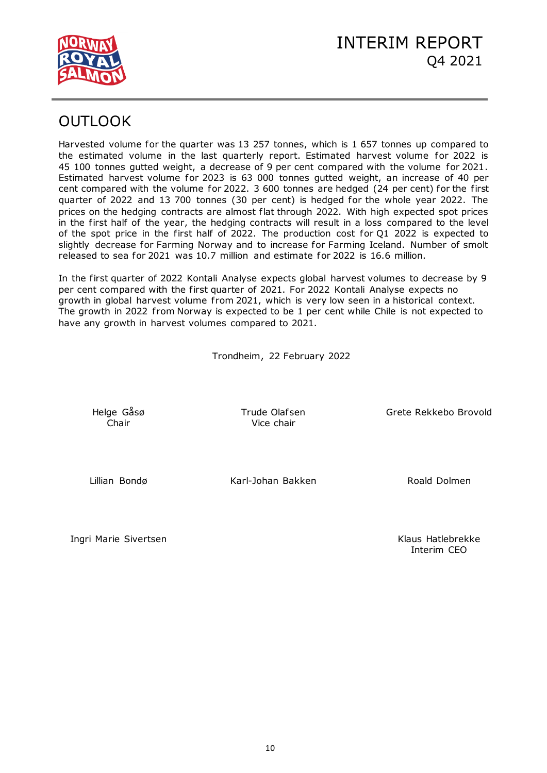

# **OUTLOOK**

Harvested volume for the quarter was 13 257 tonnes, which is 1 657 tonnes up compared to the estimated volume in the last quarterly report. Estimated harvest volume for 2022 is 45 100 tonnes gutted weight, a decrease of 9 per cent compared with the volume for 2021. Estimated harvest volume for 2023 is 63 000 tonnes gutted weight, an increase of 40 per cent compared with the volume for 2022. 3 600 tonnes are hedged (24 per cent) for the first quarter of 2022 and 13 700 tonnes (30 per cent) is hedged for the whole year 2022. The prices on the hedging contracts are almost flat through 2022. With high expected spot prices in the first half of the year, the hedging contracts will result in a loss compared to the level of the spot price in the first half of 2022. The production cost for Q1 2022 is expected to slightly decrease for Farming Norway and to increase for Farming Iceland. Number of smolt released to sea for 2021 was 10.7 million and estimate for 2022 is 16.6 million.

In the first quarter of 2022 Kontali Analyse expects global harvest volumes to decrease by 9 per cent compared with the first quarter of 2021. For 2022 Kontali Analyse expects no growth in global harvest volume from 2021, which is very low seen in a historical context. The growth in 2022 from Norway is expected to be 1 per cent while Chile is not expected to have any growth in harvest volumes compared to 2021.

Trondheim, 22 February 2022

Helge Gåsø

Chair Vice chair

Trude Olafsen Grete Rekkebo Brovold

Lillian Bondø Karl-Johan Bakken Karl Roald Dolmen

Ingri Marie Sivertsen Klaus Hatlebrekke

Interim CEO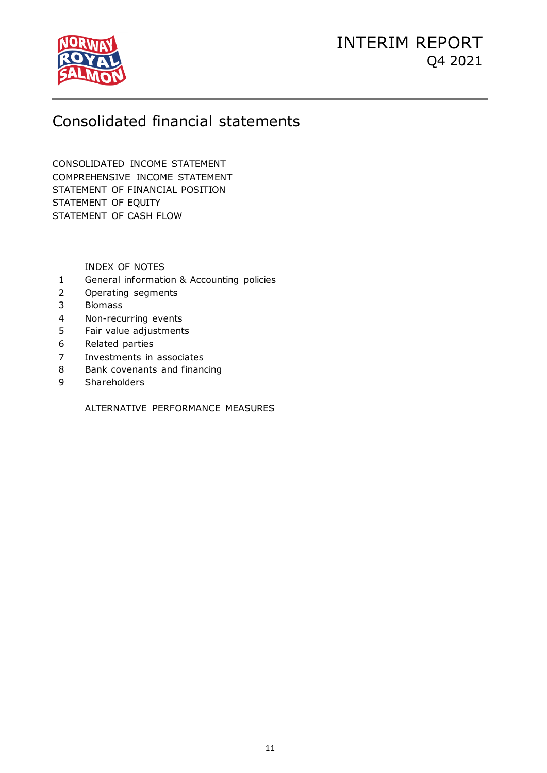

# INTERIM REPORT Q4 2021

# Consolidated financial statements

CONSOLIDATED INCOME STATEMENT COMPREHENSIVE INCOME STATEMENT STATEMENT OF FINANCIAL POSITION STATEMENT OF EQUITY STATEMENT OF CASH FLOW

INDEX OF NOTES

- 1 General information & Accounting policies
- 2 Operating segments
- 3 Biomass
- 4 Non-recurring events
- 5 Fair value adjustments
- 6 Related parties
- 7 Investments in associates
- 8 Bank covenants and financing
- 9 Shareholders

ALTERNATIVE PERFORMANCE MEASURES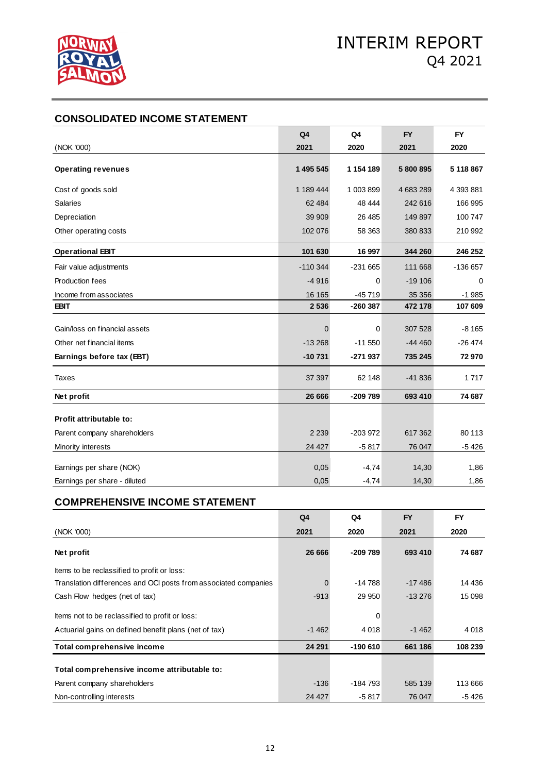

# **CONSOLIDATED INCOME STATEMENT**

|                               | Q <sub>4</sub> | Q4          | <b>FY</b> | <b>FY</b> |
|-------------------------------|----------------|-------------|-----------|-----------|
| (NOK '000)                    | 2021           | 2020        | 2021      | 2020      |
| <b>Operating revenues</b>     | 1 495 545      | 1 154 189   | 5 800 895 | 5 118 867 |
| Cost of goods sold            | 1 189 444      | 1 003 899   | 4 683 289 | 4 393 881 |
| <b>Salaries</b>               | 62 4 84        | 48 444      | 242 616   | 166 995   |
| Depreciation                  | 39 909         | 26 485      | 149 897   | 100 747   |
| Other operating costs         | 102 076        | 58 363      | 380 833   | 210 992   |
| <b>Operational EBIT</b>       | 101 630        | 16 997      | 344 260   | 246 252   |
| Fair value adjustments        | $-110344$      | $-231665$   | 111 668   | $-136657$ |
| Production fees               | $-4916$        | 0           | $-19106$  | 0         |
| Income from associates        | 16 16 5        | $-45719$    | 35 35 6   | $-1985$   |
| <b>EBIT</b>                   | 2 5 3 6        | $-260387$   | 472 178   | 107 609   |
| Gain/loss on financial assets | $\mathbf 0$    | $\mathbf 0$ | 307 528   | $-8165$   |
| Other net financial items     | $-13268$       | $-11550$    | $-44460$  | $-26474$  |
| Earnings before tax (EBT)     | $-10731$       | $-271937$   | 735 245   | 72 970    |
| Taxes                         | 37 397         | 62 148      | $-41836$  | 1717      |
| Net profit                    | 26 666         | -209 789    | 693 410   | 74 687    |
| Profit attributable to:       |                |             |           |           |
| Parent company shareholders   | 2 2 3 9        | $-203972$   | 617 362   | 80 113    |
| Minority interests            | 24 4 27        | $-5817$     | 76 047    | $-5426$   |
| Earnings per share (NOK)      | 0,05           | $-4,74$     | 14,30     | 1,86      |
| Earnings per share - diluted  | 0,05           | $-4,74$     | 14,30     | 1,86      |

# **COMPREHENSIVE INCOME STATEMENT**

|                                                                                                          | Q4      | Q4          | <b>FY</b> | FY      |
|----------------------------------------------------------------------------------------------------------|---------|-------------|-----------|---------|
| (NOK '000)                                                                                               | 2021    | 2020        | 2021      | 2020    |
| Net profit                                                                                               | 26 666  | -209 789    | 693 410   | 74 687  |
| Items to be reclassified to profit or loss:                                                              |         |             |           |         |
| Translation differences and OCI posts from associated companies                                          | 0       | -14 788     | $-17486$  | 14 4 36 |
| Cash Flow hedges (net of tax)                                                                            | $-913$  | 29 950      | $-13276$  | 15 098  |
| Items not to be reclassified to profit or loss:<br>Actuarial gains on defined benefit plans (net of tax) | $-1462$ | 0<br>4 0 18 | $-1462$   | 4 0 1 8 |
| Total comprehensive income                                                                               | 24 291  | $-190610$   | 661 186   | 108 239 |
| Total comprehensive income attributable to:                                                              |         |             |           |         |
| Parent company shareholders                                                                              | $-136$  | -184 793    | 585 139   | 113 666 |
| Non-controlling interests                                                                                | 24 4 27 | $-5817$     | 76 047    | -5426   |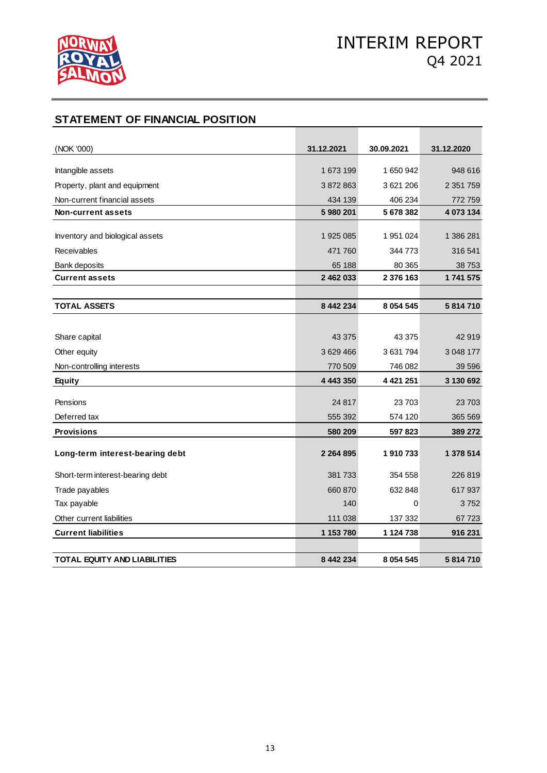

# **STATEMENT OF FINANCIAL POSITION**

| 31.12.2021<br>30.09.2021<br>31.12.2020<br>(NOK '000)<br>1 673 199<br>1 650 942<br>948 616<br>Intangible assets<br>3872863<br>2 3 5 1 7 5 9<br>Property, plant and equipment<br>3621206<br>Non-current financial assets<br>434 139<br>406 234<br>772759 |
|--------------------------------------------------------------------------------------------------------------------------------------------------------------------------------------------------------------------------------------------------------|
|                                                                                                                                                                                                                                                        |
|                                                                                                                                                                                                                                                        |
|                                                                                                                                                                                                                                                        |
|                                                                                                                                                                                                                                                        |
| 5980201<br>5 678 382<br>4 073 134<br>Non-current assets                                                                                                                                                                                                |
|                                                                                                                                                                                                                                                        |
| Inventory and biological assets<br>1 925 085<br>1951024<br>1 386 281                                                                                                                                                                                   |
| Receivables<br>316 541<br>471 760<br>344 773                                                                                                                                                                                                           |
| 65 188<br>80 365<br>38753<br>Bank deposits                                                                                                                                                                                                             |
| 2 462 033<br>2 376 163<br>1741575<br><b>Current assets</b>                                                                                                                                                                                             |
|                                                                                                                                                                                                                                                        |
| <b>TOTAL ASSETS</b><br>8 442 234<br>8 0 5 4 5 4 5<br>5 814 710                                                                                                                                                                                         |
|                                                                                                                                                                                                                                                        |
| 42919<br>Share capital<br>43 375<br>43 375                                                                                                                                                                                                             |
| Other equity<br>3629466<br>3631794<br>3 048 177                                                                                                                                                                                                        |
| Non-controlling interests<br>770 509<br>746 082<br>39 596                                                                                                                                                                                              |
| 4 443 350<br>4 4 21 2 51<br>3 130 692<br><b>Equity</b>                                                                                                                                                                                                 |
|                                                                                                                                                                                                                                                        |
| Pensions<br>24 817<br>23 703<br>23 703                                                                                                                                                                                                                 |
| Deferred tax<br>555 392<br>574 120<br>365 569                                                                                                                                                                                                          |
| 580 209<br><b>Provisions</b><br>597 823<br>389 272                                                                                                                                                                                                     |
| 1910733<br>2 2 6 4 8 9 5<br>1 378 514<br>Long-term interest-bearing debt                                                                                                                                                                               |
| 381733<br>226819<br>Short-term interest-bearing debt<br>354 558                                                                                                                                                                                        |
| 660 870<br>632 848<br>617 937<br>Trade payables                                                                                                                                                                                                        |
| 140<br>0                                                                                                                                                                                                                                               |
| Tax payable<br>3752                                                                                                                                                                                                                                    |
| 111 038<br>Other current liabilities<br>137 332<br>67 723                                                                                                                                                                                              |
| 1 153 780<br><b>Current liabilities</b><br>1 124 738<br>916 231                                                                                                                                                                                        |
| <b>TOTAL EQUITY AND LIABILITIES</b><br>8 442 234<br>8 0 5 4 5 4 5<br>5 814 710                                                                                                                                                                         |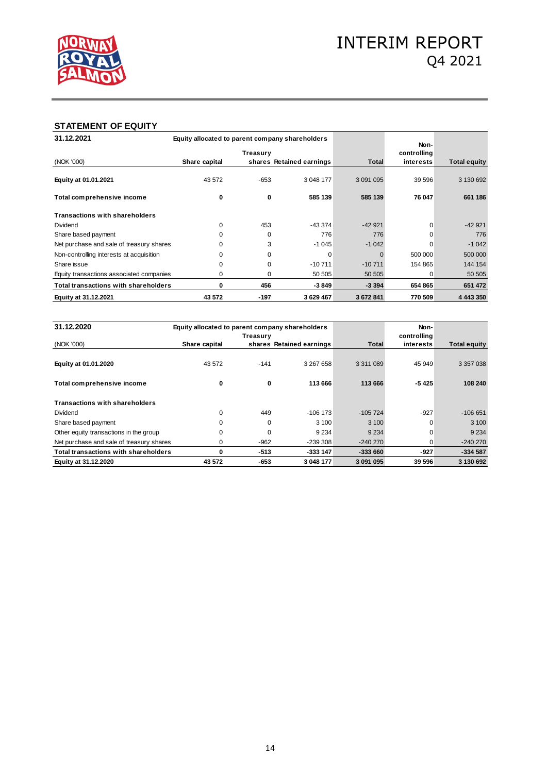

### **STATEMENT OF EQUITY**

| 31.12.2021                                  | Equity allocated to parent company shareholders |          |                          |               | Non-        |                     |
|---------------------------------------------|-------------------------------------------------|----------|--------------------------|---------------|-------------|---------------------|
|                                             |                                                 | Treasury |                          |               | controlling |                     |
| (NOK '000)                                  | Share capital                                   |          | shares Retained earnings | <b>Total</b>  | interests   | <b>Total equity</b> |
| Equity at 01.01.2021                        | 43 572                                          | -653     | 3 048 177                | 3 0 9 1 0 9 5 | 39 596      | 3 130 692           |
| Total comprehensive income                  | 0                                               | 0        | 585 139                  | 585 139       | 76 047      | 661 186             |
| <b>Transactions with shareholders</b>       |                                                 |          |                          |               |             |                     |
| Dividend                                    | 0                                               | 453      | $-433374$                | $-42921$      | 0           | $-42921$            |
| Share based payment                         |                                                 | $\Omega$ | 776                      | 776           |             | 776                 |
| Net purchase and sale of treasury shares    |                                                 | 3        | $-1045$                  | $-1042$       | O           | $-1042$             |
| Non-controlling interests at acquisition    | 0                                               | 0        | 0                        | 0             | 500 000     | 500 000             |
| Share issue                                 | $\Omega$                                        | $\Omega$ | $-10711$                 | $-10711$      | 154 865     | 144 154             |
| Equity transactions associated companies    | 0                                               | $\Omega$ | 50 505                   | 50 505        | 0           | 50 505              |
| <b>Total transactions with shareholders</b> | 0                                               | 456      | $-3849$                  | $-3394$       | 654 865     | 651 472             |
| Equity at 31.12.2021                        | 43 572                                          | $-197$   | 3629467                  | 3672841       | 770 509     | 4 4 4 3 3 5 0       |

| 31.12.2020                                  | Equity allocated to parent company shareholders |          |                          |             | Non-        |                     |
|---------------------------------------------|-------------------------------------------------|----------|--------------------------|-------------|-------------|---------------------|
|                                             |                                                 | Treasury |                          |             | controlling |                     |
| (NOK '000)                                  | Share capital                                   |          | shares Retained earnings | Total       | interests   | <b>Total equity</b> |
|                                             |                                                 |          |                          |             |             |                     |
| Equity at 01.01.2020                        | 43 572                                          | $-141$   | 3 267 658                | 3 3 1 0 8 9 | 45 949      | 3 3 5 7 0 3 8       |
|                                             |                                                 |          |                          |             |             |                     |
| Total comprehensive income                  | 0                                               | 0        | 113 666                  | 113 666     | $-5425$     | 108 240             |
|                                             |                                                 |          |                          |             |             |                     |
| <b>Transactions with shareholders</b>       |                                                 |          |                          |             |             |                     |
| Dividend                                    | $\Omega$                                        | 449      | $-106$ 173               | $-105724$   | $-927$      | $-106651$           |
| Share based payment                         | $\Omega$                                        | $\Omega$ | 3 100                    | 3 100       |             | 3 100               |
| Other equity transactions in the group      | 0                                               | 0        | 9 2 3 4                  | 9 2 3 4     | $\Omega$    | 9 2 3 4             |
| Net purchase and sale of treasury shares    | $\Omega$                                        | $-962$   | $-239308$                | $-240270$   | 0           | $-240270$           |
| <b>Total transactions with shareholders</b> | 0                                               | $-513$   | -333 147                 | $-333660$   | $-927$      | $-334587$           |
| Equity at 31.12.2020                        | 43 572                                          | -653     | 3 048 177                | 3 091 095   | 39 596      | 3 130 692           |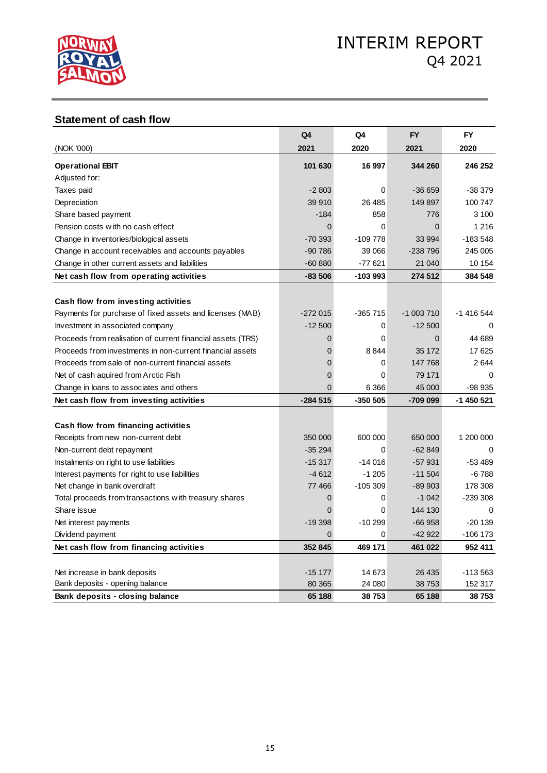

# **Statement of cash flow**

|                                                             | Q4             | Q4        | <b>FY</b>  | <b>FY</b>  |
|-------------------------------------------------------------|----------------|-----------|------------|------------|
| (NOK '000)                                                  | 2021           | 2020      | 2021       | 2020       |
| <b>Operational EBIT</b>                                     | 101 630        | 16 997    | 344 260    | 246 252    |
| Adjusted for:                                               |                |           |            |            |
| Taxes paid                                                  | $-2803$        | 0         | $-36659$   | -38 379    |
| Depreciation                                                | 39 910         | 26 485    | 149 897    | 100 747    |
| Share based payment                                         | $-184$         | 858       | 776        | 3 100      |
| Pension costs with no cash effect                           | $\overline{0}$ | $\Omega$  | $\Omega$   | 1 2 1 6    |
| Change in inventories/biological assets                     | $-70.393$      | $-109778$ | 33 994     | $-183548$  |
| Change in account receivables and accounts payables         | $-90786$       | 39 066    | $-238796$  | 245 005    |
| Change in other current assets and liabilities              | $-60880$       | $-77621$  | 21 040     | 10 154     |
| Net cash flow from operating activities                     | $-83506$       | $-103993$ | 274 512    | 384 548    |
|                                                             |                |           |            |            |
| Cash flow from investing activities                         |                |           |            |            |
| Payments for purchase of fixed assets and licenses (MAB)    | $-272015$      | $-365715$ | $-1003710$ | -1 416 544 |
| Investment in associated company                            | $-12500$       | 0         | $-12500$   | 0          |
| Proceeds from realisation of current financial assets (TRS) | 0              | 0         | 0          | 44 689     |
| Proceeds from investments in non-current financial assets   | 0              | 8844      | 35 172     | 17625      |
| Proceeds from sale of non-current financial assets          | 0              | 0         | 147 768    | 2644       |
| Net of cash aquired from Arctic Fish                        | $\overline{0}$ | $\Omega$  | 79 171     | $\Omega$   |
| Change in loans to associates and others                    | $\Omega$       | 6 3 6 6   | 45 000     | -98 935    |
| Net cash flow from investing activities                     | $-284515$      | $-350505$ | -709 099   | -1 450 521 |
|                                                             |                |           |            |            |
| Cash flow from financing activities                         |                |           |            |            |
| Receipts from new non-current debt                          | 350 000        | 600 000   | 650 000    | 1 200 000  |
| Non-current debt repayment                                  | $-35294$       | $\Omega$  | $-62849$   | 0          |
| Instalments on right to use liabilities                     | $-15317$       | $-14016$  | $-57931$   | $-53489$   |
| Interest payments for right to use liabilities              | $-4612$        | $-1205$   | $-11504$   | $-6788$    |
| Net change in bank overdraft                                | 77 466         | $-105309$ | $-89903$   | 178 308    |
| Total proceeds from transactions with treasury shares       | $\overline{0}$ | $\Omega$  | $-1042$    | $-239308$  |
| Share issue                                                 | $\overline{0}$ | $\Omega$  | 144 130    | $\Omega$   |
| Net interest payments                                       | $-19398$       | $-10299$  | $-66958$   | $-20139$   |
| Dividend payment                                            | 0              | 0         | $-42922$   | $-106$ 173 |
| Net cash flow from financing activities                     | 352 845        | 469 171   | 461 022    | 952 411    |
|                                                             |                |           |            |            |
| Net increase in bank deposits                               | $-15177$       | 14 673    | 26 435     | $-113563$  |
| Bank deposits - opening balance                             | 80 365         | 24 080    | 38753      | 152 317    |
| Bank deposits - closing balance                             | 65 188         | 38753     | 65 188     | 38753      |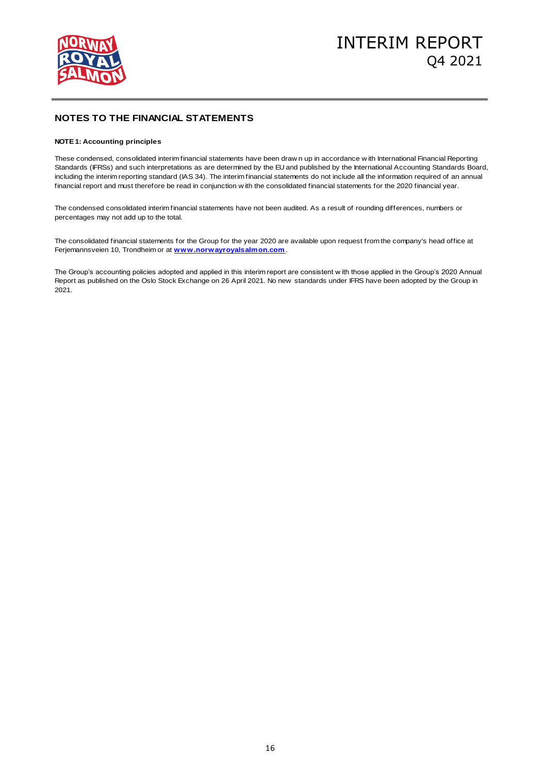

# INTERIM REPORT Q4 2021

### **NOTES TO THE FINANCIAL STATEMENTS**

#### **NOTE 1: Accounting principles**

NOTE 1: Accounting principles<br>NOTE 1: Accounting principles<br>These condensed, consolidated interim financial statements have been drawn up in accordance with International Financial Reporting<br>Standards (IFRSs) and such inte including the interim reporting standard (IAS 34). The interim financial statements do not include all the information required of an annual These condensed, consolidated interim financial statements have been drawn up in accordance with International Financial Reporting Standards Boa including the interim reporting standard (IAS 34). The interim financial stat

The condensed consolidated interim financial statements have not been audited. As a result of rounding differences, numbers or percentages may not add up to the total.

The consolidated financial statements for the Group for the year 2020 are available upon request from the company's head office at Ferjemannsveien 10, Trondheim or at **www.norwayroyalsalmon.com** . The consolidated financial statements for the Group for the year 2020 are available upon request from the company's head office at<br>Ferjemannsveien 10, Trondheim or at www.norwayroyalsalmon.com.<br>The Group's accounting polic

Report as published on the Oslo Stock Exchange on 26 April 2021. No new standards under IFRS have been adopted by the Group in 2021. 2021.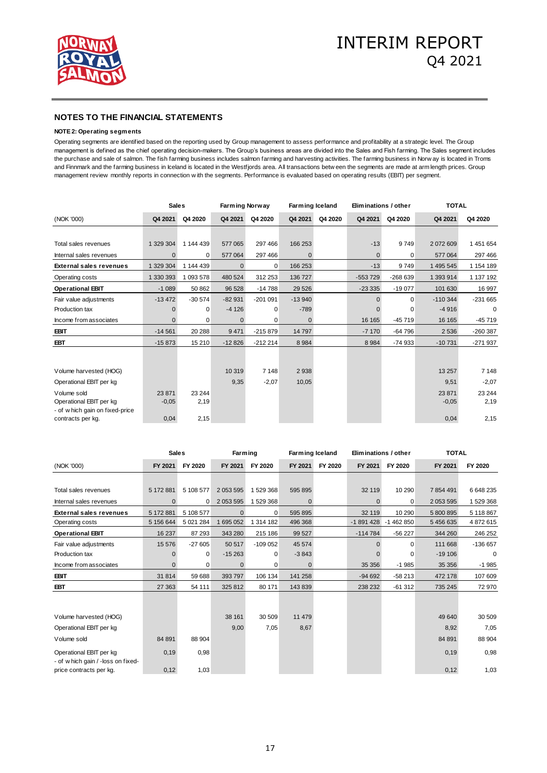

#### **NOTE 2: Operating segments**

Operating segments are identified based on the reporting used by Group management to assess performance and profitability at a strategic level. The Group management is defined as the chief operating decision-makers. The Group's business areas are divided into the Sales and Fish farming. The Sales segment includes The purchase and sale of salmon. The fish farming used by Group management to assess performance and profitability at a strategic level. The Group<br>The purchase and sale of salmon. The fish farming business includes salmon NOTE 2: Operating segments<br>Operating segments are identified based on the reporting used by Group management to assess performance and profitability at a strategic level. The Group<br>management is defined as the chief operat the purchase and sale of salmon. The fish farming business includes salmon farming and harvesting activities. The farming business in Norw ay is located in Troms and Finnmark and the farming business in lceland is located

|                                                            | <b>Sales</b> |           | Farming Norway |           | <b>Farming Iceland</b> |         | Eliminations / other |           | <b>TOTAL</b> |             |
|------------------------------------------------------------|--------------|-----------|----------------|-----------|------------------------|---------|----------------------|-----------|--------------|-------------|
| (NOK '000)                                                 | Q4 2021      | Q4 2020   | Q4 2021        | Q4 2020   | Q4 2021                | Q4 2020 | Q4 2021              | Q4 2020   | Q4 2021      | Q4 2020     |
|                                                            |              |           |                |           |                        |         |                      |           |              |             |
| Total sales revenues                                       | 1 329 304    | 1 144 439 | 577 065        | 297 466   | 166 253                |         | $-13$                | 9749      | 2 072 609    | 1 451 654   |
| Internal sales revenues                                    | $\mathbf{0}$ | 0         | 577 064        | 297 466   | $\mathbf{0}$           |         | $\Omega$             | 0         | 577 064      | 297 466     |
| <b>External sales revenues</b>                             | 1 329 304    | 1 144 439 | $\mathbf{0}$   | 0         | 166 253                |         | $-13$                | 9749      | 1 495 545    | 1 154 189   |
| Operating costs                                            | 1 330 393    | 1 093 578 | 480 524        | 312 253   | 136 727                |         | $-553729$            | $-268639$ | 1 393 914    | 1 137 192   |
| <b>Operational EBIT</b>                                    | $-1089$      | 50 862    | 96 528         | $-14788$  | 29 5 26                |         | $-23335$             | $-19077$  | 101 630      | 16 997      |
| Fair value adjustments                                     | $-13472$     | $-30574$  | $-82931$       | $-201091$ | $-13940$               |         | $\Omega$             | $\Omega$  | $-110344$    | $-231665$   |
| Production tax                                             | $\Omega$     | $\Omega$  | $-4126$        | 0         | $-789$                 |         | $\Omega$             | 0         | $-4916$      | $\mathbf 0$ |
| Income from associates                                     | $\mathbf 0$  | 0         | $\mathbf 0$    | 0         | $\mathbf{0}$           |         | 16 16 5              | $-45719$  | 16 16 5      | $-45719$    |
| <b>EBIT</b>                                                | $-14561$     | 20 288    | 9 4 7 1        | $-215879$ | 14797                  |         | $-7170$              | $-64796$  | 2 5 3 6      | -260 387    |
| <b>EBT</b>                                                 | $-15873$     | 15 210    | $-12826$       | $-212214$ | 8 9 8 4                |         | 8 9 8 4              | $-74933$  | $-10731$     | -271 937    |
|                                                            |              |           |                |           |                        |         |                      |           |              |             |
| Volume harvested (HOG)                                     |              |           | 10 319         | 7 1 4 8   | 2938                   |         |                      |           | 13 257       | 7 1 4 8     |
| Operational EBIT per kg                                    |              |           | 9,35           | $-2,07$   | 10,05                  |         |                      |           | 9,51         | $-2,07$     |
| Volume sold                                                | 23 871       | 23 244    |                |           |                        |         |                      |           | 23 871       | 23 244      |
| Operational EBIT per kg<br>- of w hich gain on fixed-price | $-0,05$      | 2,19      |                |           |                        |         |                      |           | $-0,05$      | 2,19        |
| contracts per kg.                                          | 0,04         | 2,15      |                |           |                        |         |                      |           | 0,04         | 2,15        |

|                                                               | <b>Sales</b> |             | <b>Farming</b> |           |         |         | Farming Iceland |            | Eliminations / other |           |  |  | <b>TOTAL</b> |  |
|---------------------------------------------------------------|--------------|-------------|----------------|-----------|---------|---------|-----------------|------------|----------------------|-----------|--|--|--------------|--|
| (NOK '000)                                                    | FY 2021      | FY 2020     | FY 2021        | FY 2020   | FY 2021 | FY 2020 | FY 2021         | FY 2020    | FY 2021              | FY 2020   |  |  |              |  |
|                                                               |              |             |                |           |         |         |                 |            |                      |           |  |  |              |  |
| Total sales revenues                                          | 5 172 881    | 5 108 577   | 2 0 53 5 95    | 1 529 368 | 595 895 |         | 32 119          | 10 290     | 7 854 491            | 6 648 235 |  |  |              |  |
| Internal sales revenues                                       | $\Omega$     | 0           | 2 0 53 5 95    | 1 529 368 | n       |         | $\Omega$        | 0          | 2 053 595            | 1 529 368 |  |  |              |  |
| <b>External sales revenues</b>                                | 5 172 881    | 5 108 577   | $\Omega$       | 0         | 595 895 |         | 32 119          | 10 290     | 5 800 895            | 5 118 867 |  |  |              |  |
| Operating costs                                               | 5 156 644    | 5 0 21 2 84 | 1695052        | 1 314 182 | 496 368 |         | $-1891428$      | $-1462850$ | 5 456 635            | 4 872 615 |  |  |              |  |
| <b>Operational EBIT</b>                                       | 16 237       | 87 293      | 343 280        | 215 186   | 99 527  |         | $-114784$       | $-56227$   | 344 260              | 246 252   |  |  |              |  |
| Fair value adjustments                                        | 15 576       | $-27605$    | 50 517         | $-109052$ | 45 574  |         |                 | 0          | 111 668              | $-136657$ |  |  |              |  |
| Production tax                                                | 0            | 0           | $-15263$       | 0         | $-3843$ |         |                 | $\Omega$   | $-19106$             | $\Omega$  |  |  |              |  |
| Income from associates                                        | $\Omega$     | 0           | $\Omega$       | 0         | ŋ       |         | 35 35 6         | $-1985$    | 35 35 6              | $-1985$   |  |  |              |  |
| <b>EBIT</b>                                                   | 31 814       | 59 688      | 393797         | 106 134   | 141 258 |         | $-94692$        | $-58213$   | 472 178              | 107 609   |  |  |              |  |
| EBT                                                           | 27 363       | 54 111      | 325 812        | 80 171    | 143 839 |         | 238 232         | $-61312$   | 735 245              | 72 970    |  |  |              |  |
|                                                               |              |             |                |           |         |         |                 |            |                      |           |  |  |              |  |
| Volume harvested (HOG)                                        |              |             | 38 161         | 30 509    | 11 479  |         |                 |            | 49 640               | 30 509    |  |  |              |  |
| Operational EBIT per kg                                       |              |             | 9,00           | 7,05      | 8,67    |         |                 |            | 8,92                 | 7,05      |  |  |              |  |
| Volume sold                                                   | 84 891       | 88 904      |                |           |         |         |                 |            | 84 891               | 88 904    |  |  |              |  |
| Operational EBIT per kg<br>- of w hich gain / -loss on fixed- | 0,19         | 0,98        |                |           |         |         |                 |            | 0, 19                | 0,98      |  |  |              |  |
| price contracts per kg.                                       | 0,12         | 1,03        |                |           |         |         |                 |            | 0,12                 | 1,03      |  |  |              |  |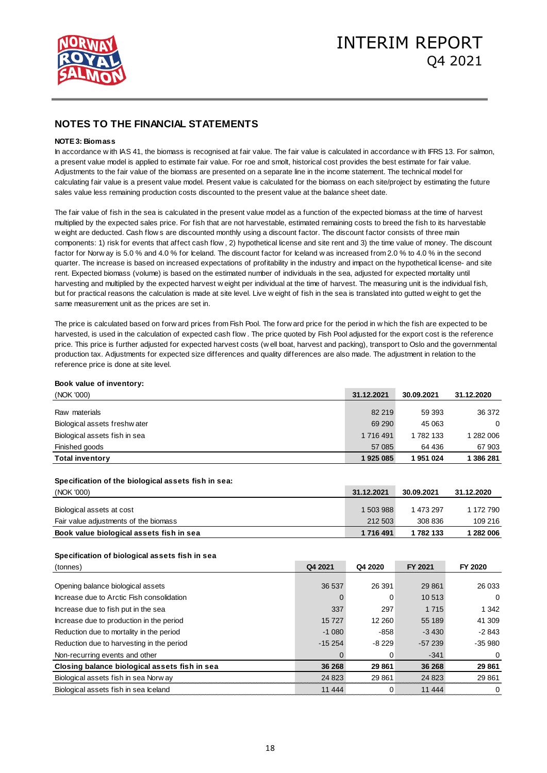

# INTERIM REPORT Q4 2021

# **NOTES TO THE FINANCIAL STATEMENTS**

#### **NOTE 3: Biomass**

In accordance w ith IAS 41, the biomass is recognised at fair value. The fair value is calculated in accordance w ith IFRS 13. For salmon, a present value model is applied to estimate fair value. For roe and smolt, historical cost provides the best estimate for fair value. Adjustments to the fair value of the biomass are presented on a separate line in the income statement. The technical model for calculating fair value is a present value model. Present value is calculated for the biomass on each site/project by estimating the future sales value less remaining production costs discounted to the present value at the balance sheet date.

The fair value of fish in the sea is calculated in the present value model as a function of the expected biomass at the time of harvest multiplied by the expected sales price. For fish that are not harvestable, estimated remaining costs to breed the fish to its harvestable w eight are deducted. Cash flow s are discounted monthly using a discount factor. The discount factor consists of three main The fair value of fish in the sea is calculated in the present value model as a function of the expected biomass at the time of harvest multiplied by the expected sales price. For fish that are not harvestable, estimated r factor for Norw ay is 5.0 % and 4.0 % for leeland. The discount factor for leeland weight are deducted. Cash flow s are discounted monthly using a discount factor. The discount factor consists of three main components: 1) quarter. The increase is based on increased expectations of profitability in the industry and impact on the hypothetical license- and site rent. Expected biomass (volume) is based on the estimated number of individuals in the sea, adjusted for expected mortality until factor for Norw ay is 5.0 % and 4.0 % for lceland. The discount factor for lceland w as increased from 2.0 % to 4.0 % in the second quarter. The increase is based on increased expectations of profitability in the industry but for practical reasons the calculation is made at site level. Live w eight of fish in the sea is translated into gutted w eight to get the same measurement unit as the prices are set in. The price is calculated based on forw ard prices from Fish Pool. The forw ard price for the period in w hich the fish are expected to be harvested, is used in the calculation of expected cash flow. The price quoted by Fish

harvested, is used in the calculation of expected cash flow. The forward price for the period in which the fish are expected to be harvested, is used in the calculation of expected cash flow. The price quoted by Fish Pool harvested, is used in the calculation of expected cash flow. The price quoted by Fish Pool adjusted for the export cost is the reference<br>price. This price is further adjusted for expected harvest costs (w ell boat, harvest production tax. Adjustments for expected size differences and quality differences are also made. The adjustment in relation to the reference price is done at site level.

### **Book value of inventory:**

| Book value of inventory:      |            |            |            |
|-------------------------------|------------|------------|------------|
| (NOK '000)                    | 31.12.2021 | 30.09.2021 | 31.12.2020 |
|                               |            |            |            |
| Raw materials                 | 82 219     | 59 393     | 36 372     |
| Biological assets freshwater  | 69 290     | 45 063     | $\Omega$   |
| Biological assets fish in sea | 1 716 491  | 1 782 133  | 1 282 006  |
| Finished goods                | 57 085     | 64 436     | 67 903     |
| <b>Total inventory</b>        | 1925 085   | 1951024    | 1 386 281  |

#### **Specification of the biological assets fish in sea:**

| (NOK '000)                               | 31.12.2021 | 30.09.2021 | 31.12.2020 |
|------------------------------------------|------------|------------|------------|
| Biological assets at cost                | 1 503 988  | 1 473 297  | 1 172 790  |
| Fair value adjustments of the biomass    | 212 503    | 308 836    | 109 216    |
| Book value biological assets fish in sea | 1716491    | 1 782 133  | 1 282 006  |

#### **Specification of biological assets fish in sea**

| (tonnes)                                      | Q4 2021  | Q4 2020  | FY 2021  | FY 2020  |
|-----------------------------------------------|----------|----------|----------|----------|
|                                               |          |          |          |          |
| Opening balance biological assets             | 36 537   | 26 391   | 29 861   | 26 033   |
| Increase due to Arctic Fish consolidation     |          | 0        | 10 513   | $\Omega$ |
| Increase due to fish put in the sea           | 337      | 297      | 1 7 1 5  | 1 3 4 2  |
| Increase due to production in the period      | 15727    | 12 260   | 55 189   | 41 309   |
| Reduction due to mortality in the period      | $-1080$  | $-858$   | $-3430$  | $-2843$  |
| Reduction due to harvesting in the period     | $-15254$ | $-8229$  | $-57239$ | $-35980$ |
| Non-recurring events and other                |          | 0        | $-341$   | 0        |
| Closing balance biological assets fish in sea | 36 268   | 29 861   | 36 268   | 29 861   |
| Biological assets fish in sea Norw ay         | 24 8 23  | 29 861   | 24 823   | 29 861   |
| Biological assets fish in sea Iceland         | 11 444   | $\Omega$ | 11 444   |          |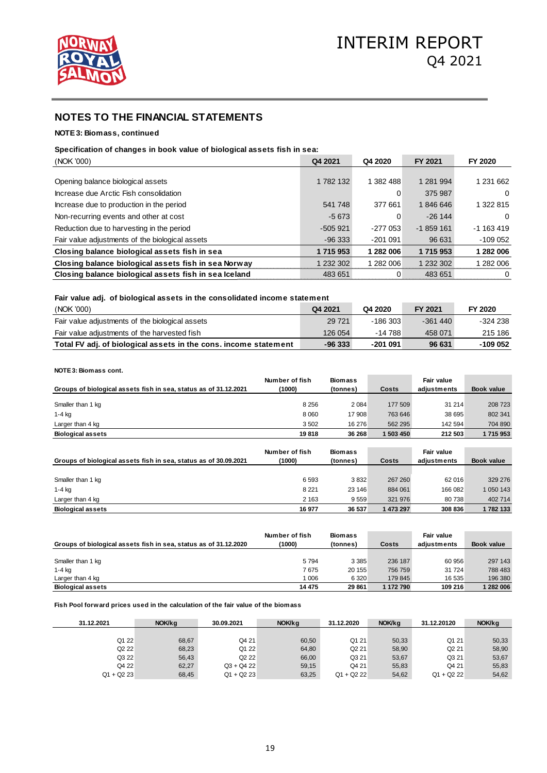

### **NOTE 3: Biomass, continued**

#### **Specification of changes in book value of biological assets fish in sea:**

| (NOK '000)                                            | Q4 2021   | Q4 2020   | FY 2021    | FY 2020      |
|-------------------------------------------------------|-----------|-----------|------------|--------------|
|                                                       |           |           |            |              |
| Opening balance biological assets                     | 1 782 132 | 1 382 488 | 1 281 994  | 1 231 662    |
| Increase due Arctic Fish consolidation                |           | 0         | 375 987    | $\Omega$     |
| Increase due to production in the period              | 541 748   | 377 661   | 1846646    | 1 322 815    |
| Non-recurring events and other at cost                | $-5673$   | 0         | $-26, 144$ | $\Omega$     |
| Reduction due to harvesting in the period             | $-505921$ | $-277053$ | $-1859161$ | $-1$ 163 419 |
| Fair value adjustments of the biological assets       | $-96333$  | $-201091$ | 96 631     | $-109052$    |
| Closing balance biological assets fish in sea         | 1715953   | 1 282 006 | 1715953    | 1 282 006    |
| Closing balance biological assets fish in sea Norway  | 1 232 302 | 282 006   | 1 232 302  | 1 282 006    |
| Closing balance biological assets fish in sea Iceland | 483 651   | 0         | 483 651    | 0            |

### **Fair value adj. of biological assets in the consolidated income statement**

| (NOK '000)                                                       | Q4 2021 | Q4 2020   | FY 2021   | FY 2020  |
|------------------------------------------------------------------|---------|-----------|-----------|----------|
| Fair value adjustments of the biological assets                  | 29 7 21 | $-186303$ | $-361440$ | -324 238 |
| Fair value adjustments of the harvested fish                     | 126 054 | $-14788$  | 458 071   | 215 186  |
| Total FV adj. of biological assets in the cons. income statement | -96 333 | $-201091$ | 96 631    | -109 052 |

#### **NOTE 3: Biomass cont.**

 $\overline{a}$ 

|                                                                  | Number of fish | <b>Biomass</b> |           | Fair value  |            |
|------------------------------------------------------------------|----------------|----------------|-----------|-------------|------------|
| Groups of biological assets fish in sea, status as of 31.12.2021 | (1000)         | (tonnes)       | Costs     | adiustments | Book value |
|                                                                  |                |                |           |             |            |
| Smaller than 1 kg                                                | 8 2 5 6        | 2084           | 177 509   | 31 214      | 208 723    |
| 1-4 kg                                                           | 8 0 6 0        | 17 908         | 763 646   | 38 695      | 802 341    |
| Larger than 4 kg                                                 | 3502           | 16 276         | 562 295   | 142 594     | 704 890    |
| <b>Biological assets</b>                                         | 19818          | 36 268         | 1 503 450 | 212 503     | 1715953    |

| Groups of biological assets fish in sea, status as of 30.09.2021 | Number of fish<br>(1000) | <b>Biomass</b><br>(tonnes) | Costs   | Fair value<br>adiustments | <b>Book value</b> |
|------------------------------------------------------------------|--------------------------|----------------------------|---------|---------------------------|-------------------|
|                                                                  |                          |                            |         |                           |                   |
| Smaller than 1 kg                                                | 6593                     | 3832                       | 267 260 | 62 016                    | 329 276           |
| $1-4$ kg                                                         | 8 2 2 1                  | 23 146                     | 884 061 | 166 082                   | 1 050 143         |
| Larger than 4 kg                                                 | 2 1 6 3                  | 9559                       | 321 976 | 80 738                    | 402 714           |
| <b>Biological assets</b>                                         | 16 977                   | 36 537                     | 473 297 | 308 836                   | 1782133           |

|                                                                  | Number of fish | <b>Biomass</b> |           | Fair value  |                   |
|------------------------------------------------------------------|----------------|----------------|-----------|-------------|-------------------|
| Groups of biological assets fish in sea, status as of 31.12.2020 | (1000)         | (tonnes)       | Costs     | adiustments | <b>Book value</b> |
|                                                                  |                |                |           |             |                   |
| Smaller than 1 kg                                                | 5794           | 3 3 8 5        | 236 187   | 60 956      | 297 143           |
| $1-4$ kg                                                         | 7675           | 20 155         | 756 759   | 31 724      | 788 483           |
| Larger than 4 kg                                                 | 1 0 0 6        | 6 3 2 0        | 179 845   | 16 535      | 196 380           |
| <b>Biological assets</b>                                         | 14 475         | 29 861         | 1 172 790 | 109 216     | 282 006           |

#### **Fish Pool forward prices used in the calculation of the fair value of the biomass**

| 31.12.2021                    | NOK/kg | 30.09.2021                    | NOK/kg | 31.12.2020        | NOK/kg | 31.12.20120       | NOK/kg |
|-------------------------------|--------|-------------------------------|--------|-------------------|--------|-------------------|--------|
|                               |        |                               |        |                   |        |                   |        |
| Q1 22                         | 68,67  | Q4 21                         | 60,50  | Q1 21             | 50.33  | Q1 21             | 50,33  |
| Q <sub>2</sub> 2 <sub>2</sub> | 68,23  | Q1 22                         | 64,80  | Q <sub>2</sub> 21 | 58,90  | Q <sub>2</sub> 21 | 58,90  |
| Q3 22                         | 56,43  | Q <sub>2</sub> 2 <sub>2</sub> | 66,00  | Q3 21             | 53.67  | Q3 21             | 53,67  |
| Q4 22                         | 62,27  | $Q3 + Q422$                   | 59.15  | Q4 21             | 55.83  | Q4 21             | 55,83  |
| $Q1 + Q223$                   | 68,45  | $Q1 + Q223$                   | 63,25  | $Q1 + Q2 22$      | 54,62  | $Q1 + Q2 22$      | 54,62  |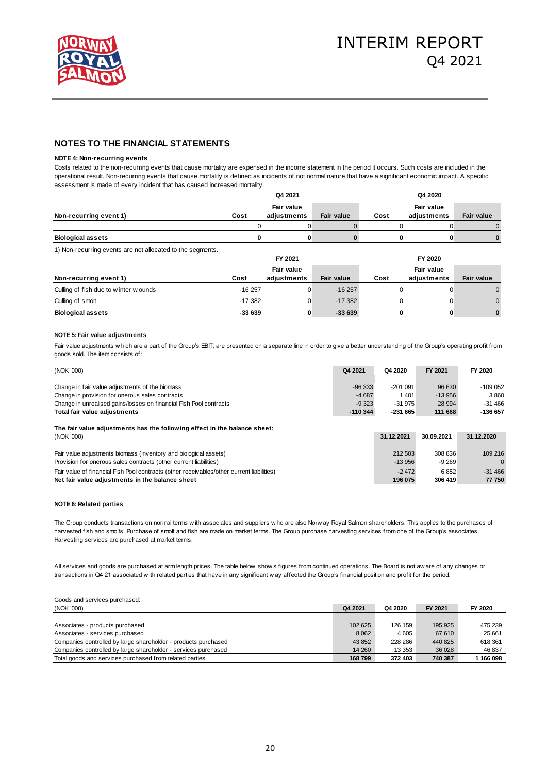

#### **NOTE 4: Non-recurring events**

Costs related to the non-recurring events that cause mortality are expensed in the income statement in the period it occurs. Such costs are included in the operational result. Non-recurring events that cause mortality is defined as incidents of not normal nature that have a significant economic impact. A specific assessment is made of every incident that has caused increased mortality.

|                          |      | Q4 2021     |                   |      | Q4 2020           |                   |  |
|--------------------------|------|-------------|-------------------|------|-------------------|-------------------|--|
|                          |      | Fair value  |                   |      | <b>Fair value</b> |                   |  |
| Non-recurring event 1)   | Cost | adiustments | <b>Fair value</b> | Cost | adiustments       | <b>Fair value</b> |  |
|                          |      |             |                   |      |                   | $\Omega$          |  |
| <b>Biological assets</b> |      |             |                   |      |                   |                   |  |

1) Non-recurring events are not allocated to the segments.

| IT INDIFICULTING CYCLILS ALC TIOL AIRCLAIGU TO THE SCUTTCHES. | FY 2021   |             | FY 2020           |      |                   |                   |
|---------------------------------------------------------------|-----------|-------------|-------------------|------|-------------------|-------------------|
|                                                               |           | Fair value  |                   |      | <b>Fair value</b> |                   |
| Non-recurring event 1)                                        | Cost      | adiustments | <b>Fair value</b> | Cost | adjustments       | <b>Fair value</b> |
| Culling of fish due to w inter w ounds                        | $-16257$  |             | $-16257$          |      |                   |                   |
| Culling of smolt                                              | $-17.382$ |             | $-17.382$         |      |                   |                   |
| <b>Biological assets</b>                                      | -33 639   | 0           | $-33639$          |      | 0                 |                   |

#### **NOTE 5: Fair value adjustments**

Fair value adjustments w hich are a part of the Group's EBIT, are presented on a separate line in order to give a better understanding of the Group's operating profit from goods sold. The item consists of:

| (NOK '000)                                                         | Q4 2021    | Q4 2020   | FY 2021  | FY 2020   |
|--------------------------------------------------------------------|------------|-----------|----------|-----------|
|                                                                    |            |           |          |           |
| Change in fair value adjustments of the biomass                    | $-96333$   | $-201091$ | 96 630   | $-109052$ |
| Change in provision for onerous sales contracts                    | $-4687$    | 1401      | $-13956$ | 3860      |
| Change in unrealised gains/losses on financial Fish Pool contracts | $-9323$    | $-31.975$ | 28 994   | $-31466$  |
| Total fair value adjustments                                       | $-110.344$ | $-231665$ | 111 668  | -136 657  |

#### **The fair value adjustments has the following effect in the balance sheet:** (NOK '000) **31.12.2021 30.09.2021 31.12.2020** Fair value adjustments biomass (inventory and biological assets) 212 503 308 836 109 216 Provision for onerous sales contracts (other current liabilities) and the contracts of the contracts of the current liabilities) on the contracts of the contracts of the contracts of the contracts of the contracts of the c Fair value of financial Fish Pool contracts (other receivables/other current liabilities) -2 472 6 852 -31 466<br>Net fair value adjustments in the balance sheet 196 075 306 419 77 750 **Net fair value adjustments in the balance sheet**

#### **NOTE 6: Related parties**

harvested fish and smolts. Purchase of smolt and fish are made on market terms. The Group purchase harvesting services from one of the Group's associates.<br>Harvesting services are purchased at market terms.<br>All services and The Group conducts transactions on normal terms w ith associates and suppliers w ho are also Norw ay Royal Salmon shareholders. This applies to the purchases of harvested fish and smolts. Purchase of smolt and fish are made on market terms. The Group purchase harvesting services from one of the Group's associates. Harvesting services are purchased at market terms.

Harvesting services are purchased at market terms.<br>All services and goods are purchased at arm length prices. The table below shows figures from continued operations. The Board is not aw are of any<br>transactions in Q4 21 as

| Goods and services purchased:<br>(NOK '000)                    | Q4 2021 | Q4 2020 | FY 2021 | FY 2020   |
|----------------------------------------------------------------|---------|---------|---------|-----------|
|                                                                |         |         |         |           |
| Associates - products purchased                                | 102 625 | 126 159 | 195 925 | 475 239   |
| Associates - services purchased                                | 8 0 6 2 | 4605    | 67 610  | 25 661    |
| Companies controlled by large shareholder - products purchased | 43 852  | 228 286 | 440 825 | 618 361   |
| Companies controlled by large shareholder - services purchased | 14 260  | 13 353  | 36 0 28 | 46837     |
| Total goods and services purchased from related parties        | 168799  | 372 403 | 740 387 | 1 166 098 |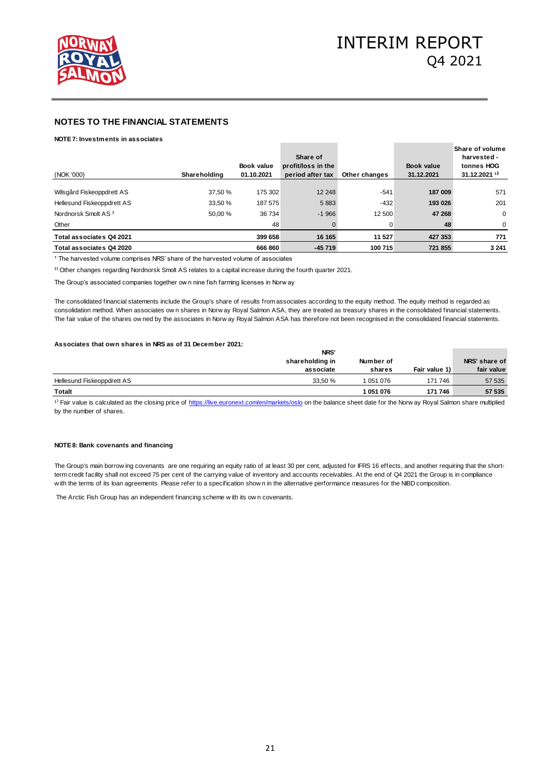

#### **NOTE 7: Investments in associates**

|                                                                                                                        |              |            |                    |               |            | Share of volume          |  |
|------------------------------------------------------------------------------------------------------------------------|--------------|------------|--------------------|---------------|------------|--------------------------|--|
|                                                                                                                        |              |            | Share of           |               |            | harvested -              |  |
|                                                                                                                        |              | Book value | profit/loss in the |               | Book value | tonnes HOG               |  |
| (NOK '000)                                                                                                             | Shareholding | 01.10.2021 | period after tax   | Other changes | 31.12.2021 | 31.12.2021 <sup>1)</sup> |  |
|                                                                                                                        |              |            |                    |               |            |                          |  |
| Wilsgård Fiskeoppdrett AS                                                                                              | 37,50 %      | 175 302    | 12 248             | $-541$        | 187 009    | 571                      |  |
| Hellesund Fiskeoppdrett AS                                                                                             | 33,50 %      | 187 575    | 5883               | $-432$        | 193 026    | 201                      |  |
| Nordnorsk Smolt AS <sup>2</sup>                                                                                        | 50,00 %      | 36 734     | $-1966$            | 12 500        | 47 268     | $\mathbf 0$              |  |
| Other                                                                                                                  |              | 48         | 0                  | 0             | 48         | 0                        |  |
| Total associates Q4 2021                                                                                               |              | 399 658    | 16 165             | 11 527        | 427 353    | 771                      |  |
| Total associates Q4 2020                                                                                               |              | 666 860    | $-45719$           | 100 715       | 721 855    | 3 2 4 1                  |  |
| <sup>1</sup> The harvested volume comprises NRS' share of the harvested volume of associates                           |              |            |                    |               |            |                          |  |
| <sup>2)</sup> Other changes regarding Nordnorsk Smolt AS relates to a capital increase during the fourth quarter 2021. |              |            |                    |               |            |                          |  |
| The Group's associated companies together own nine fish farming licenses in Norw ay                                    |              |            |                    |               |            |                          |  |

The consolidated financial statements include the Group's share of results from associates according to the equity method. The equity method is regarded as The Group's associated companies together ow n nine fish farming licenses in Norw ay<br>The consolidated financial statements include the Group's share of results from associates according to the equity method. The equity met The fair value of the shares ow ned by the associates in Norw ay Royal Salmon ASA has therefore not been recognised in the consolidated financial statements.

#### **Associates that own shares in NRS as of 31 December 2021:**

|                            | NRS'            |           |               |               |
|----------------------------|-----------------|-----------|---------------|---------------|
|                            | shareholding in | Number of |               | NRS' share of |
|                            | associate       | shares    | Fair value 1) | fair value    |
| Hellesund Fiskeoppdrett AS | 33.50 %         | 051 076   | 171 746       | 57 535        |
| <b>Totalt</b>              |                 | 1051076   | 171 746       | 57 535        |

<sup>1)</sup> Fair value is calculated as the closing price of https://live.euronext.com/en/markets/oslo on the balance sheet date for the Norw ay Royal Salmon share multiplied by the number of shares.

#### **NOTE 8: Bank covenants and financing**

**NOTE 8: Bank covenants and financing**<br>The Group's main borrow ing covenants are one requiring an equity ratio of at least 30 per cent, adjusted for IFRS 16 effects, and another requiring that the short-<br>term credit facili term credit facility shall not exceed 75 per cent of the carrying value of inventory and accounts receivables. At the end of Q4 2021 the Group is in compliance NOTE 8: Bank covenants and financing<br>The Group's main borrow ing covenants are one requiring an equity ratio of at least 30 per cent, adjusted for IFRS 16 effects, and another requirem credit facility shall not exceed 75 p The Group's main borrow ing covenants are one requiring an equity ratio of at least 30 term credit facility shall not exceed 75 per cent of the carrying value of inventory and it with the terms of its loan agreements. Plea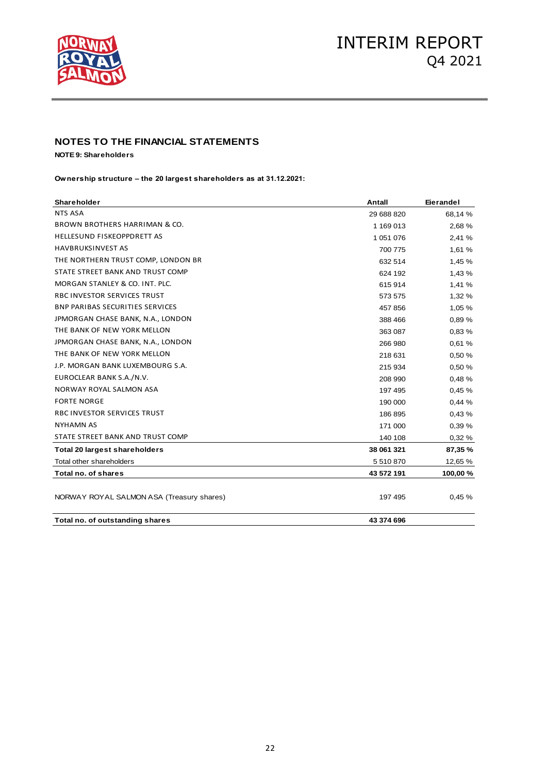

**NOTE 9: Shareholders** 

**Ownership structure – the 20 largest shareholders as at 31.12.2021:**

| Shareholder                               | Antall     | Eierandel |
|-------------------------------------------|------------|-----------|
| <b>NTS ASA</b>                            | 29 688 820 | 68,14 %   |
| BROWN BROTHERS HARRIMAN & CO.             | 1 169 013  | 2,68 %    |
| <b>HELLESUND FISKEOPPDRETT AS</b>         | 1 051 076  | 2,41 %    |
| <b>HAVBRUKSINVEST AS</b>                  | 700 775    | 1,61 %    |
| THE NORTHERN TRUST COMP, LONDON BR        | 632 514    | 1,45 %    |
| STATE STREET BANK AND TRUST COMP          | 624 192    | 1,43 %    |
| MORGAN STANLEY & CO. INT. PLC.            | 615914     | 1,41 %    |
| RBC INVESTOR SERVICES TRUST               | 573 575    | 1,32 %    |
| <b>BNP PARIBAS SECURITIES SERVICES</b>    | 457 856    | 1,05 %    |
| JPMORGAN CHASE BANK, N.A., LONDON         | 388 466    | 0.89%     |
| THE BANK OF NEW YORK MELLON               | 363 087    | 0,83%     |
| JPMORGAN CHASE BANK, N.A., LONDON         | 266 980    | 0.61%     |
| THE BANK OF NEW YORK MELLON               | 218 631    | 0,50%     |
| J.P. MORGAN BANK LUXEMBOURG S.A.          | 215 934    | 0,50 %    |
| EUROCLEAR BANK S.A./N.V.                  | 208 990    | 0,48%     |
| NORWAY ROYAL SALMON ASA                   | 197 495    | 0,45 %    |
| <b>FORTE NORGE</b>                        | 190 000    | 0,44%     |
| RBC INVESTOR SERVICES TRUST               | 186 895    | 0,43%     |
| <b>NYHAMN AS</b>                          | 171 000    | 0,39 %    |
| STATE STREET BANK AND TRUST COMP          | 140 108    | 0,32%     |
| Total 20 largest shareholders             | 38 061 321 | 87,35 %   |
| Total other shareholders                  | 5 510 870  | 12,65 %   |
| Total no. of shares                       | 43 572 191 | 100,00 %  |
| NORWAY ROYAL SALMON ASA (Treasury shares) | 197 495    | 0,45 %    |
| Total no. of outstanding shares           | 43 374 696 |           |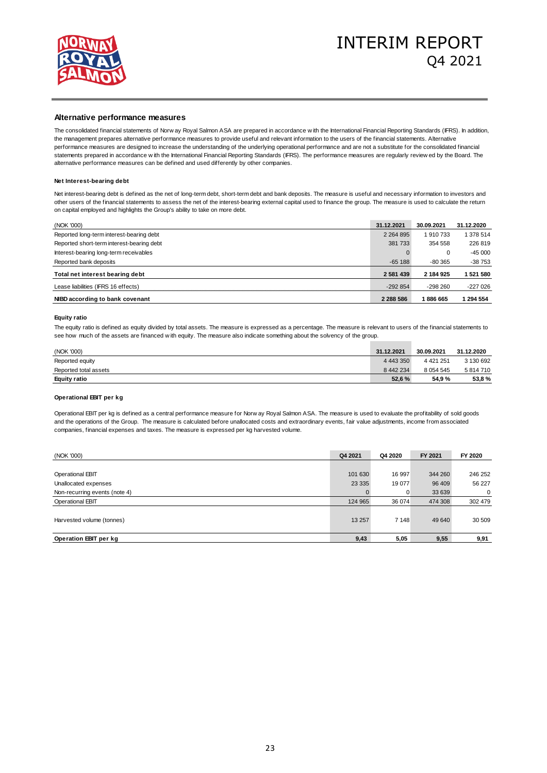

#### **Alternative performance measures**

The consolidated financial statements of Norw ay Royal Salmon ASA are prepared in accordance w ith the International Financial Reporting Standards (IFRS). In addition, the management prepares alternative performance measures to provide useful and relevant information to the users of the financial statements. Alternative performance measures are designed to increase the understanding of the underlying operational performance and are not a substitute for the consolidated financial statements prepared in accordance w ith the International Financial Reporting Standards (IFRS). The performance measures are regularly review ed by the Board. The alternative performance measures can be defined and used differently by other companies.

#### **Net Interest-bearing debt**

Net interest-bearing debt is defined as the net of long-term debt, short-term debt and bank deposits. The measure is useful and necessary information to investors and other users of the financial statements to assess the net of the interest-bearing external capital used to finance the group. The measure is used to calculate the return on capital employed and highlights the Group's ability to take on more debt.

| (NOK '000)                                | 31.12.2021    | 30.09.2021 | 31.12.2020 |
|-------------------------------------------|---------------|------------|------------|
| Reported long-term interest-bearing debt  | 2 2 6 4 8 9 5 | 1910733    | 1378 514   |
| Reported short-term interest-bearing debt | 381 733       | 354 558    | 226 819    |
| Interest-bearing long-term receivables    |               | 0          | $-45000$   |
| Reported bank deposits                    | $-65188$      | -80 365    | -38 753    |
| Total net interest bearing debt           | 2 581 439     | 2 184 925  | 1 521 580  |
| Lease liabilities (IFRS 16 effects)       | $-292854$     | $-298260$  | $-227026$  |
| NIBD according to bank covenant           | 2 2 8 5 5 8 6 | 1886 665   | 294 554    |

#### **Equity ratio**

The equity ratio is defined as equity divided by total assets. The measure is expressed as a percentage. The measure is relevant to users of the financial statements to **NIBD according to bank covenant**<br>**Equity ratio**<br>The equity ratio is defined as equity divided by total assets. The measure is expressed as a percentage. The measure is relev<br>see how much of the assets are financed w ith e

| (NOK '000)            | 31.12.2021    | 30.09.2021    | 31.12.2020 |
|-----------------------|---------------|---------------|------------|
| Reported equity       | 4 4 4 3 3 5 0 | 4 4 2 1 2 5 1 | 3 130 692  |
| Reported total assets | 8 442 234     | 8 0 5 4 5 4 5 | 5814710    |
| <b>Equity ratio</b>   | 52.6 %        | 54.9%         | 53,8%      |

#### **Operational EBIT per kg**

Operational EBIT per kg is defined as a central performance measure for Norw ay Royal Salmon ASA. The measure is used to evaluate the profitability of sold goods and the operations of the Group. The measure is calculated before unallocated costs and extraordinary events, fair value adjustments, income from associated companies, financial expenses and taxes. The measure is expressed per kg harvested volume.

| (NOK '000)                    | Q4 2021  | Q4 2020 | FY 2021 | FY 2020     |
|-------------------------------|----------|---------|---------|-------------|
|                               |          |         |         |             |
| <b>Operational EBIT</b>       | 101 630  | 16 997  | 344 260 | 246 252     |
| Unallocated expenses          | 23 3 3 5 | 19 077  | 96 409  | 56 227      |
| Non-recurring events (note 4) | $\Omega$ | 0       | 33 639  | $\mathbf 0$ |
| <b>Operational EBIT</b>       | 124 965  | 36 074  | 474 308 | 302 479     |
| Harvested volume (tonnes)     | 13 257   | 7 1 4 8 | 49 640  | 30 509      |
| Operation EBIT per kg         | 9,43     | 5,05    | 9,55    | 9,91        |